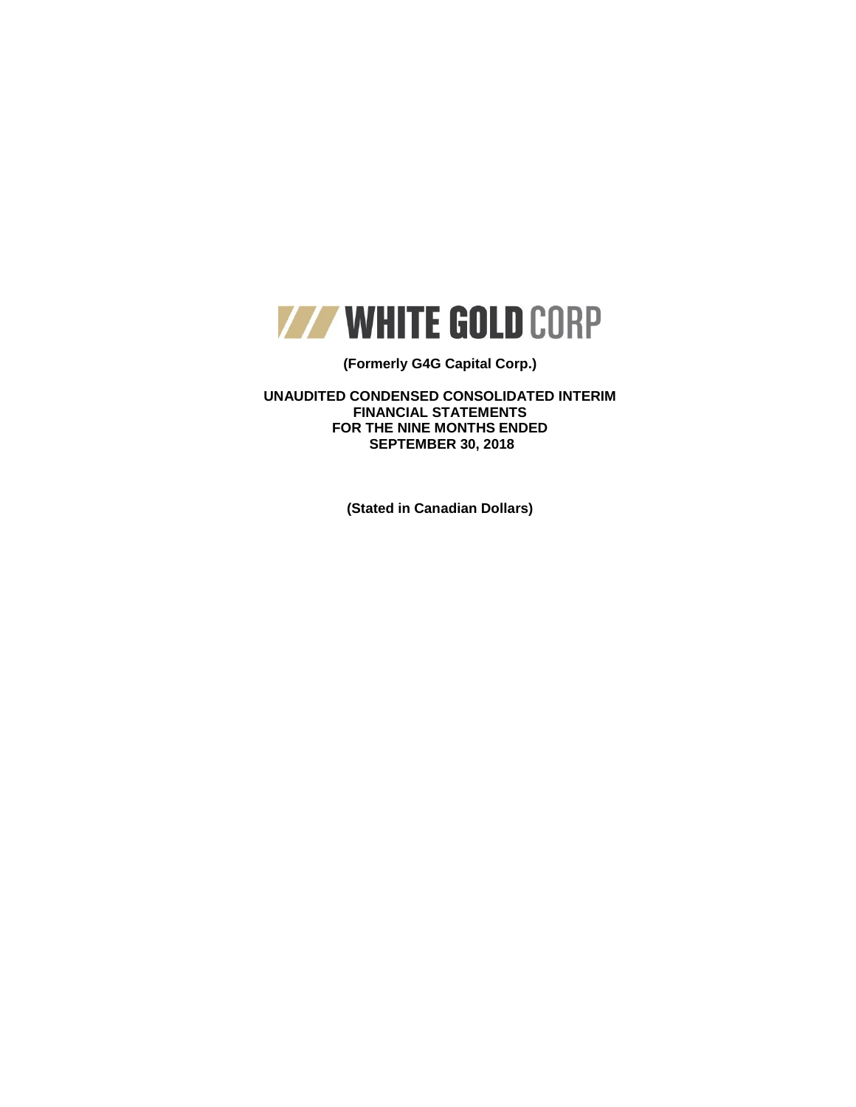

### **(Formerly G4G Capital Corp.)**

**UNAUDITED CONDENSED CONSOLIDATED INTERIM FINANCIAL STATEMENTS FOR THE NINE MONTHS ENDED SEPTEMBER 30, 2018**

**(Stated in Canadian Dollars)**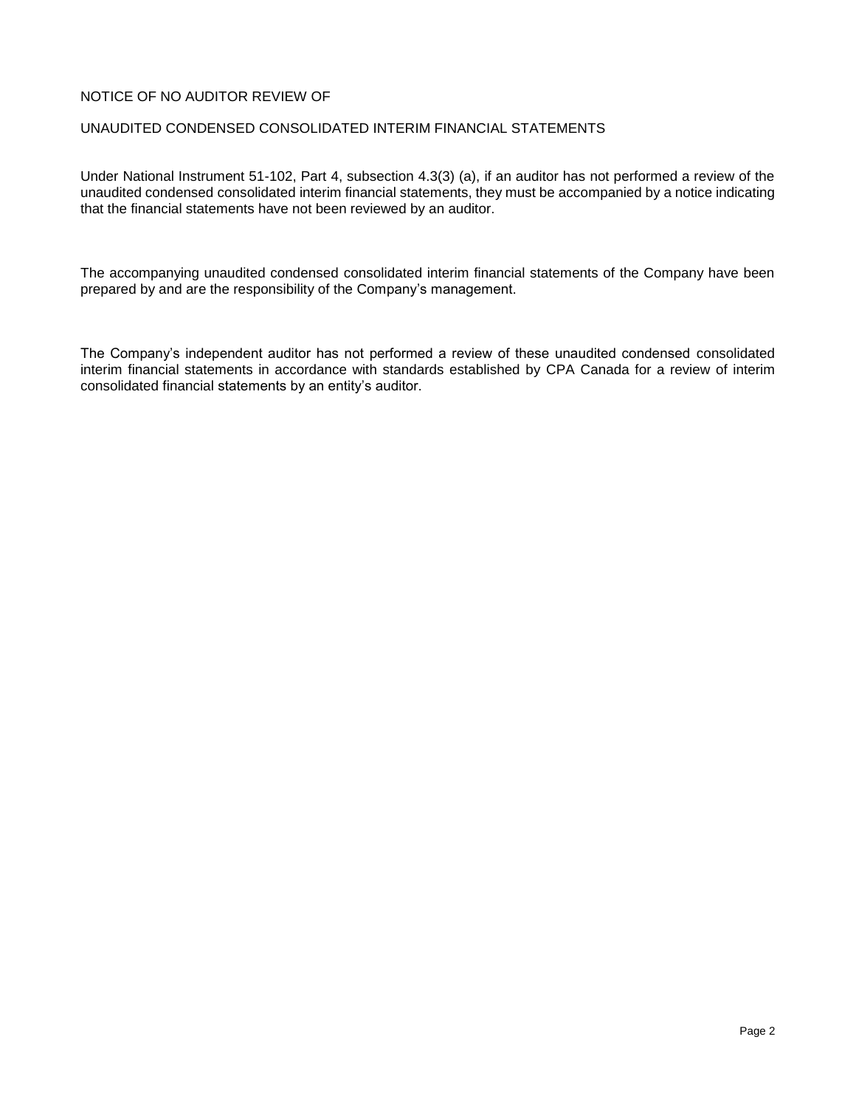### NOTICE OF NO AUDITOR REVIEW OF

### UNAUDITED CONDENSED CONSOLIDATED INTERIM FINANCIAL STATEMENTS

Under National Instrument 51-102, Part 4, subsection 4.3(3) (a), if an auditor has not performed a review of the unaudited condensed consolidated interim financial statements, they must be accompanied by a notice indicating that the financial statements have not been reviewed by an auditor.

The accompanying unaudited condensed consolidated interim financial statements of the Company have been prepared by and are the responsibility of the Company's management.

The Company's independent auditor has not performed a review of these unaudited condensed consolidated interim financial statements in accordance with standards established by CPA Canada for a review of interim consolidated financial statements by an entity's auditor.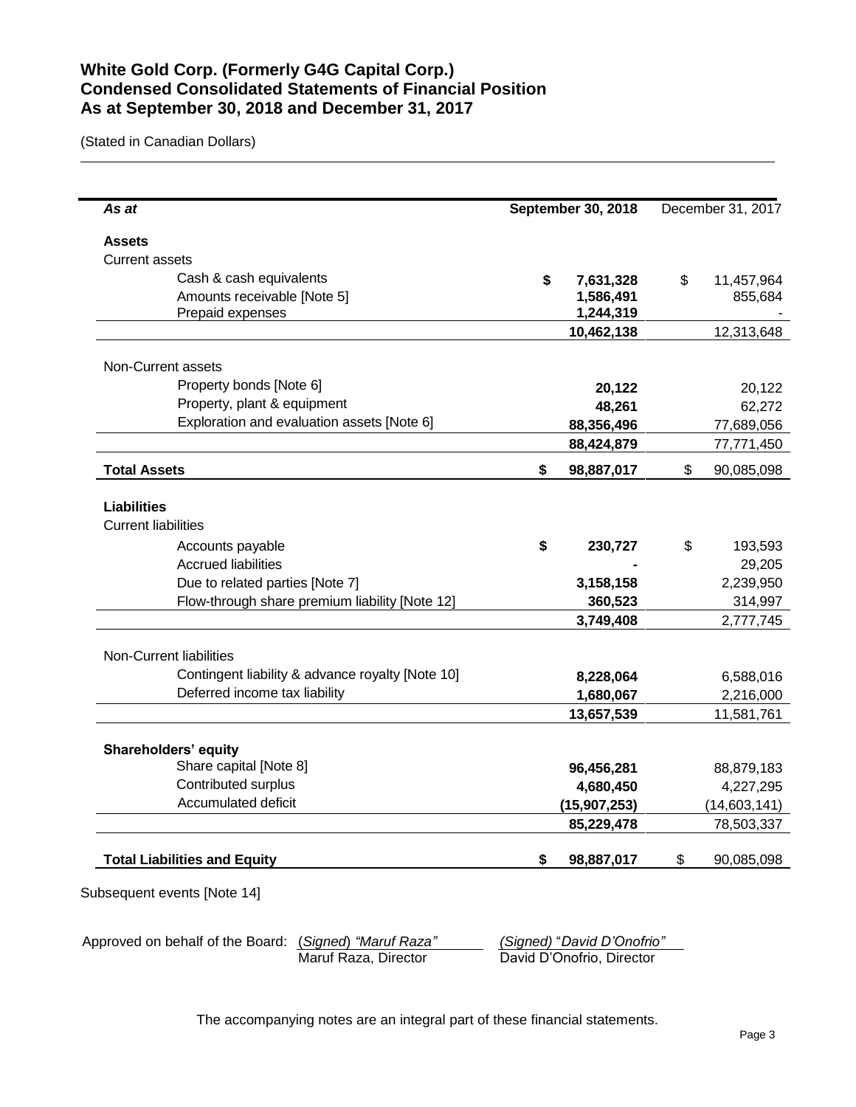## **White Gold Corp. (Formerly G4G Capital Corp.) Condensed Consolidated Statements of Financial Position As at September 30, 2018 and December 31, 2017**

(Stated in Canadian Dollars)

L

| As at                                            | <b>September 30, 2018</b> |                          | December 31, 2017 |              |
|--------------------------------------------------|---------------------------|--------------------------|-------------------|--------------|
| <b>Assets</b>                                    |                           |                          |                   |              |
| <b>Current assets</b>                            |                           |                          |                   |              |
| Cash & cash equivalents                          | \$                        | 7,631,328                | \$                | 11,457,964   |
| Amounts receivable [Note 5]                      |                           | 1,586,491                |                   | 855,684      |
| Prepaid expenses                                 |                           | 1,244,319                |                   |              |
|                                                  |                           | 10,462,138               |                   | 12,313,648   |
| Non-Current assets                               |                           |                          |                   |              |
| Property bonds [Note 6]                          |                           | 20,122                   |                   | 20,122       |
| Property, plant & equipment                      |                           |                          |                   | 62,272       |
| Exploration and evaluation assets [Note 6]       |                           | 48,261                   |                   |              |
|                                                  |                           | 88,356,496<br>88,424,879 |                   | 77,689,056   |
|                                                  |                           |                          |                   | 77,771,450   |
| <b>Total Assets</b>                              | \$                        | 98,887,017               | \$                | 90,085,098   |
| <b>Liabilities</b>                               |                           |                          |                   |              |
| <b>Current liabilities</b>                       |                           |                          |                   |              |
| Accounts payable                                 | \$                        | 230,727                  | \$                | 193,593      |
| <b>Accrued liabilities</b>                       |                           |                          |                   | 29,205       |
| Due to related parties [Note 7]                  |                           | 3,158,158                |                   | 2,239,950    |
| Flow-through share premium liability [Note 12]   |                           | 360,523                  |                   | 314,997      |
|                                                  |                           | 3,749,408                |                   | 2,777,745    |
| Non-Current liabilities                          |                           |                          |                   |              |
| Contingent liability & advance royalty [Note 10] |                           | 8,228,064                |                   | 6,588,016    |
| Deferred income tax liability                    |                           | 1,680,067                |                   | 2,216,000    |
|                                                  |                           | 13,657,539               |                   | 11,581,761   |
| Shareholders' equity                             |                           |                          |                   |              |
| Share capital [Note 8]                           |                           | 96,456,281               |                   | 88,879,183   |
| Contributed surplus                              |                           | 4,680,450                |                   | 4,227,295    |
| Accumulated deficit                              |                           | (15, 907, 253)           |                   | (14,603,141) |
|                                                  |                           | 85,229,478               |                   | 78,503,337   |
| <b>Total Liabilities and Equity</b>              | \$                        | 98,887,017               | \$                | 90,085,098   |
|                                                  |                           |                          |                   |              |

Approved on behalf of the Board: (*Signed*) *"Maruf Raza" (Signed)* "*David D'Onofrio"* David D'Onofrio, Director

The accompanying notes are an integral part of these financial statements.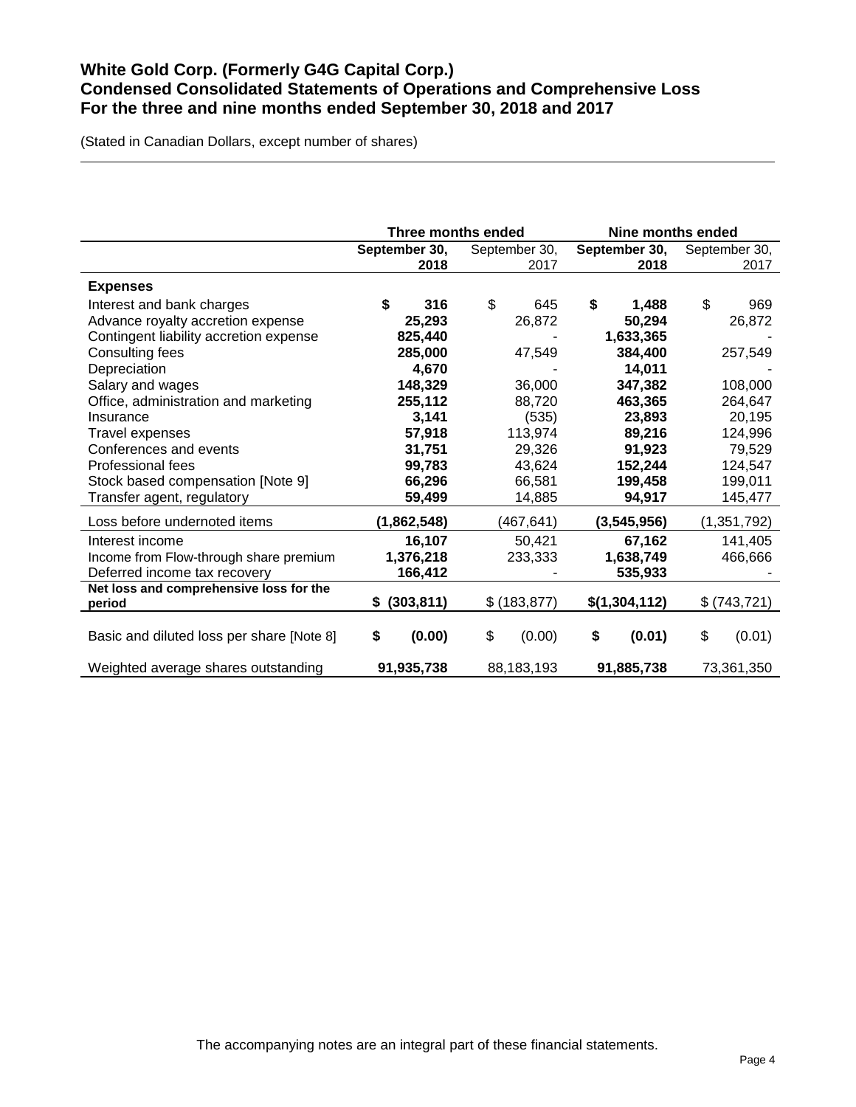## **White Gold Corp. (Formerly G4G Capital Corp.) Condensed Consolidated Statements of Operations and Comprehensive Loss For the three and nine months ended September 30, 2018 and 2017**

(Stated in Canadian Dollars, except number of shares)

|                                           | Three months ended |               | Nine months ended |               |  |
|-------------------------------------------|--------------------|---------------|-------------------|---------------|--|
|                                           | September 30,      | September 30, | September 30,     | September 30, |  |
|                                           | 2018               | 2017          | 2018              | 2017          |  |
| <b>Expenses</b>                           |                    |               |                   |               |  |
| Interest and bank charges                 | \$<br>316          | \$<br>645     | \$<br>1,488       | \$<br>969     |  |
| Advance royalty accretion expense         | 25,293             | 26,872        | 50,294            | 26,872        |  |
| Contingent liability accretion expense    | 825,440            |               | 1,633,365         |               |  |
| Consulting fees                           | 285,000            | 47,549        | 384,400           | 257,549       |  |
| Depreciation                              | 4,670              |               | 14,011            |               |  |
| Salary and wages                          | 148,329            | 36,000        | 347,382           | 108,000       |  |
| Office, administration and marketing      | 255,112            | 88,720        | 463,365           | 264,647       |  |
| Insurance                                 | 3,141              | (535)         | 23,893            | 20,195        |  |
| Travel expenses                           | 57,918             | 113,974       | 89,216            | 124,996       |  |
| Conferences and events                    | 31,751             | 29,326        | 91,923            | 79,529        |  |
| <b>Professional fees</b>                  | 99,783             | 43,624        | 152,244           | 124,547       |  |
| Stock based compensation [Note 9]         | 66,296             | 66,581        | 199,458           | 199,011       |  |
| Transfer agent, regulatory                | 59,499             | 14,885        | 94,917            | 145,477       |  |
| Loss before undernoted items              | (1,862,548)        | (467, 641)    | (3,545,956)       | (1, 351, 792) |  |
| Interest income                           | 16,107             | 50,421        | 67,162            | 141,405       |  |
| Income from Flow-through share premium    | 1,376,218          | 233,333       | 1,638,749         | 466,666       |  |
| Deferred income tax recovery              | 166,412            |               | 535,933           |               |  |
| Net loss and comprehensive loss for the   |                    |               |                   |               |  |
| period                                    | (303, 811)<br>S.   | \$ (183, 877) | \$(1,304,112)     | \$ (743, 721) |  |
| Basic and diluted loss per share [Note 8] | (0.00)<br>\$       | \$<br>(0.00)  | \$<br>(0.01)      | \$<br>(0.01)  |  |
| Weighted average shares outstanding       | 91,935,738         | 88,183,193    | 91,885,738        | 73,361,350    |  |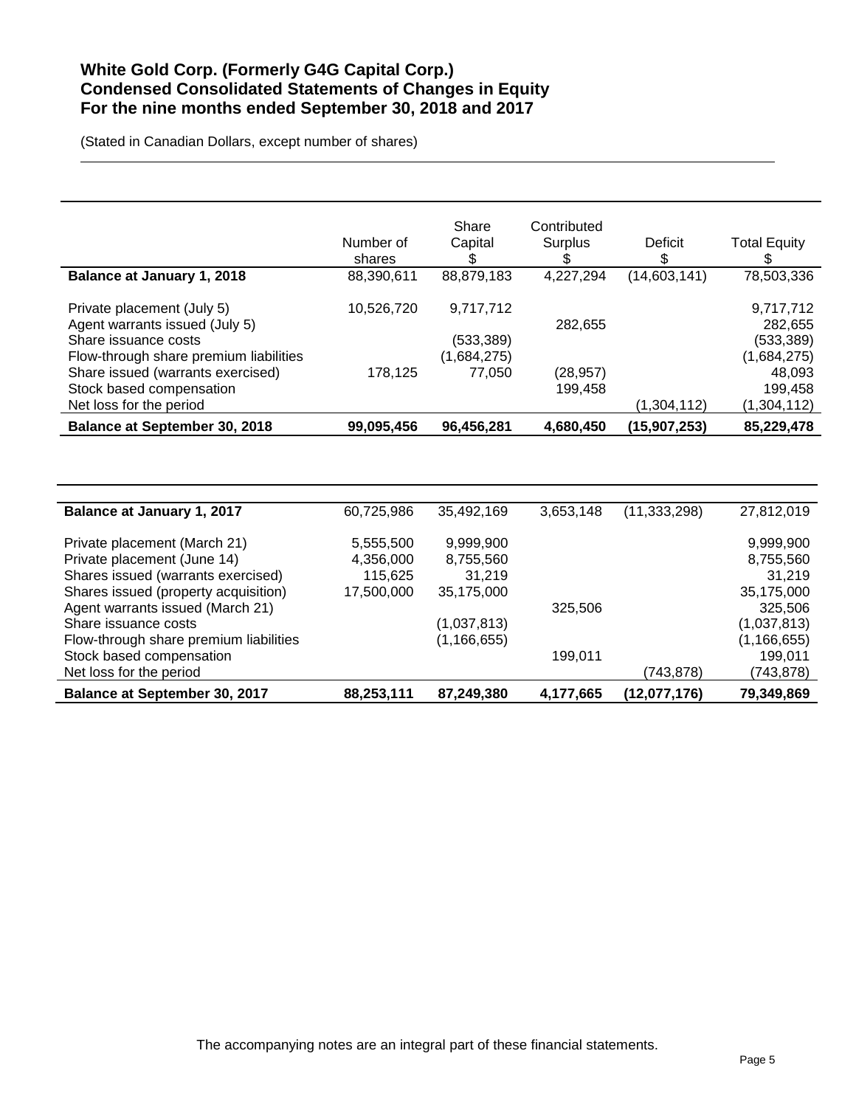## **White Gold Corp. (Formerly G4G Capital Corp.) Condensed Consolidated Statements of Changes in Equity For the nine months ended September 30, 2018 and 2017**

(Stated in Canadian Dollars, except number of shares)

Stock based compensation

|                                                                             | Number of  | Share<br>Capital          | Contributed<br>Surplus | Deficit        | <b>Total Equity</b>   |
|-----------------------------------------------------------------------------|------------|---------------------------|------------------------|----------------|-----------------------|
|                                                                             | shares     | \$                        | \$                     | \$             | \$                    |
| Balance at January 1, 2018                                                  | 88,390,611 | 88,879,183                | 4,227,294              | (14,603,141)   | 78,503,336            |
| Private placement (July 5)                                                  | 10,526,720 | 9,717,712                 |                        |                | 9,717,712             |
| Agent warrants issued (July 5)                                              |            |                           | 282,655                |                | 282,655               |
| Share issuance costs                                                        |            | (533, 389)<br>(1,684,275) |                        |                | (533, 389)            |
| Flow-through share premium liabilities<br>Share issued (warrants exercised) | 178,125    | 77,050                    | (28, 957)              |                | (1,684,275)<br>48,093 |
| Stock based compensation                                                    |            |                           | 199,458                |                | 199,458               |
| Net loss for the period                                                     |            |                           |                        | (1,304,112)    | (1,304,112)           |
| <b>Balance at September 30, 2018</b>                                        | 99,095,456 | 96,456,281                | 4,680,450              | (15, 907, 253) | 85,229,478            |
|                                                                             |            |                           |                        |                |                       |
|                                                                             |            |                           |                        |                |                       |
| Balance at January 1, 2017                                                  | 60,725,986 | 35,492,169                | 3,653,148              | (11, 333, 298) | 27,812,019            |
| Private placement (March 21)                                                | 5,555,500  | 9,999,900                 |                        |                | 9,999,900             |
| Private placement (June 14)                                                 | 4,356,000  | 8,755,560                 |                        |                | 8,755,560             |
| Shares issued (warrants exercised)                                          | 115,625    | 31,219                    |                        |                | 31,219                |
| Shares issued (property acquisition)                                        | 17,500,000 | 35,175,000                |                        |                | 35,175,000            |
| Agent warrants issued (March 21)                                            |            |                           | 325,506                |                | 325,506               |
| Share issuance costs                                                        |            | (1,037,813)               |                        |                | (1,037,813)           |

Flow-through share premium liabilities (1,166,655) (1,166,655)<br>Stock based compensation (199,011 computed by the stock based compensation (199,011 computed by the stock base

Net loss for the period  $(743,878)$   $(743,878)$ **Balance at September 30, 2017 88,253,111 87,249,380 4,177,665 (12,077,176) 79,349,869**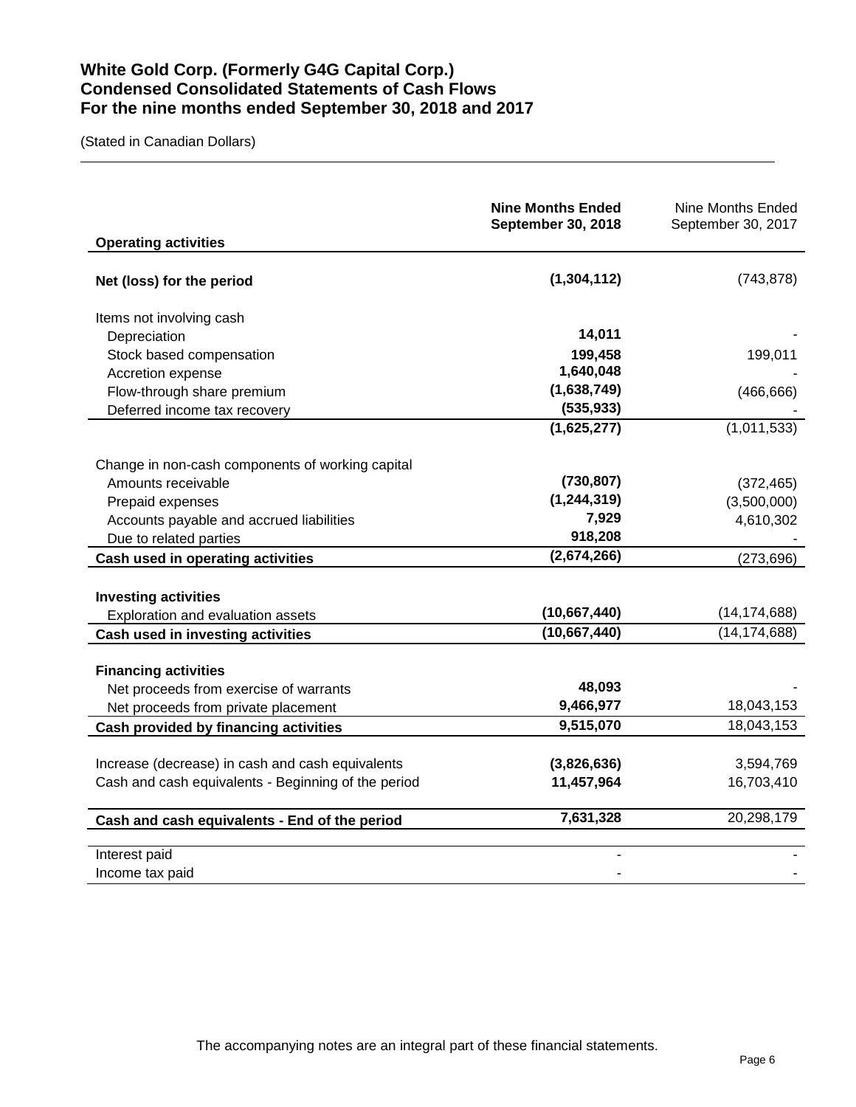## **White Gold Corp. (Formerly G4G Capital Corp.) Condensed Consolidated Statements of Cash Flows For the nine months ended September 30, 2018 and 2017**

(Stated in Canadian Dollars)

| <b>Operating activities</b>                         | <b>Nine Months Ended</b><br><b>September 30, 2018</b> | <b>Nine Months Ended</b><br>September 30, 2017 |
|-----------------------------------------------------|-------------------------------------------------------|------------------------------------------------|
| Net (loss) for the period                           | (1,304,112)                                           | (743, 878)                                     |
| Items not involving cash                            |                                                       |                                                |
| Depreciation                                        | 14,011                                                |                                                |
| Stock based compensation                            | 199,458                                               | 199,011                                        |
| Accretion expense                                   | 1,640,048                                             |                                                |
| Flow-through share premium                          | (1,638,749)                                           | (466, 666)                                     |
| Deferred income tax recovery                        | (535, 933)                                            |                                                |
|                                                     | (1,625,277)                                           | (1,011,533)                                    |
| Change in non-cash components of working capital    |                                                       |                                                |
| Amounts receivable                                  | (730, 807)                                            | (372, 465)                                     |
| Prepaid expenses                                    | (1, 244, 319)                                         | (3,500,000)                                    |
| Accounts payable and accrued liabilities            | 7,929                                                 | 4,610,302                                      |
| Due to related parties                              | 918,208                                               |                                                |
| Cash used in operating activities                   | (2,674,266)                                           | (273, 696)                                     |
|                                                     |                                                       |                                                |
| <b>Investing activities</b>                         |                                                       |                                                |
| Exploration and evaluation assets                   | (10,667,440)                                          | (14, 174, 688)                                 |
| Cash used in investing activities                   | (10,667,440)                                          | (14, 174, 688)                                 |
|                                                     |                                                       |                                                |
| <b>Financing activities</b>                         | 48,093                                                |                                                |
| Net proceeds from exercise of warrants              | 9,466,977                                             | 18,043,153                                     |
| Net proceeds from private placement                 | 9,515,070                                             | 18,043,153                                     |
| Cash provided by financing activities               |                                                       |                                                |
| Increase (decrease) in cash and cash equivalents    | (3,826,636)                                           | 3,594,769                                      |
| Cash and cash equivalents - Beginning of the period | 11,457,964                                            | 16,703,410                                     |
|                                                     |                                                       |                                                |
| Cash and cash equivalents - End of the period       | 7,631,328                                             | 20,298,179                                     |
| Interest paid                                       |                                                       |                                                |
| Income tax paid                                     |                                                       |                                                |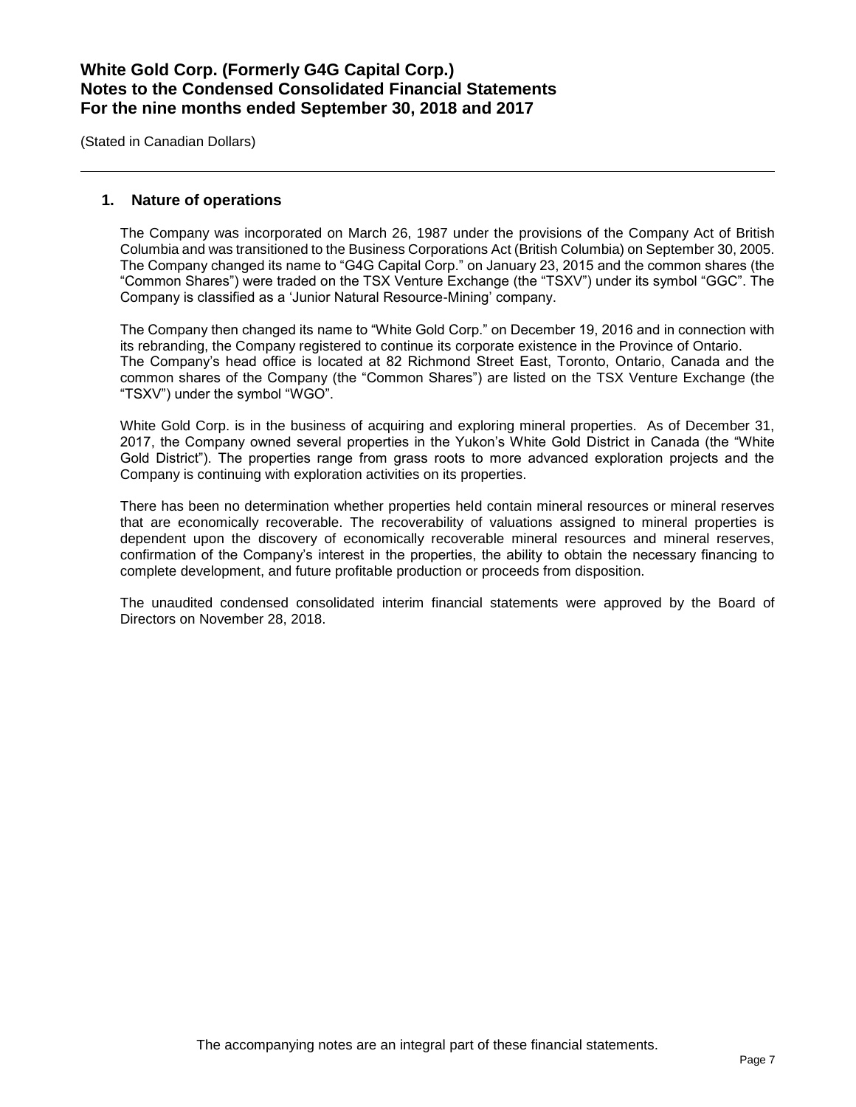(Stated in Canadian Dollars)

### **1. Nature of operations**

The Company was incorporated on March 26, 1987 under the provisions of the Company Act of British Columbia and was transitioned to the Business Corporations Act (British Columbia) on September 30, 2005. The Company changed its name to "G4G Capital Corp." on January 23, 2015 and the common shares (the "Common Shares") were traded on the TSX Venture Exchange (the "TSXV") under its symbol "GGC". The Company is classified as a 'Junior Natural Resource-Mining' company.

The Company then changed its name to "White Gold Corp." on December 19, 2016 and in connection with its rebranding, the Company registered to continue its corporate existence in the Province of Ontario. The Company's head office is located at 82 Richmond Street East, Toronto, Ontario, Canada and the common shares of the Company (the "Common Shares") are listed on the TSX Venture Exchange (the "TSXV") under the symbol "WGO".

White Gold Corp. is in the business of acquiring and exploring mineral properties. As of December 31, 2017, the Company owned several properties in the Yukon's White Gold District in Canada (the "White Gold District"). The properties range from grass roots to more advanced exploration projects and the Company is continuing with exploration activities on its properties.

There has been no determination whether properties held contain mineral resources or mineral reserves that are economically recoverable. The recoverability of valuations assigned to mineral properties is dependent upon the discovery of economically recoverable mineral resources and mineral reserves, confirmation of the Company's interest in the properties, the ability to obtain the necessary financing to complete development, and future profitable production or proceeds from disposition.

The unaudited condensed consolidated interim financial statements were approved by the Board of Directors on November 28, 2018.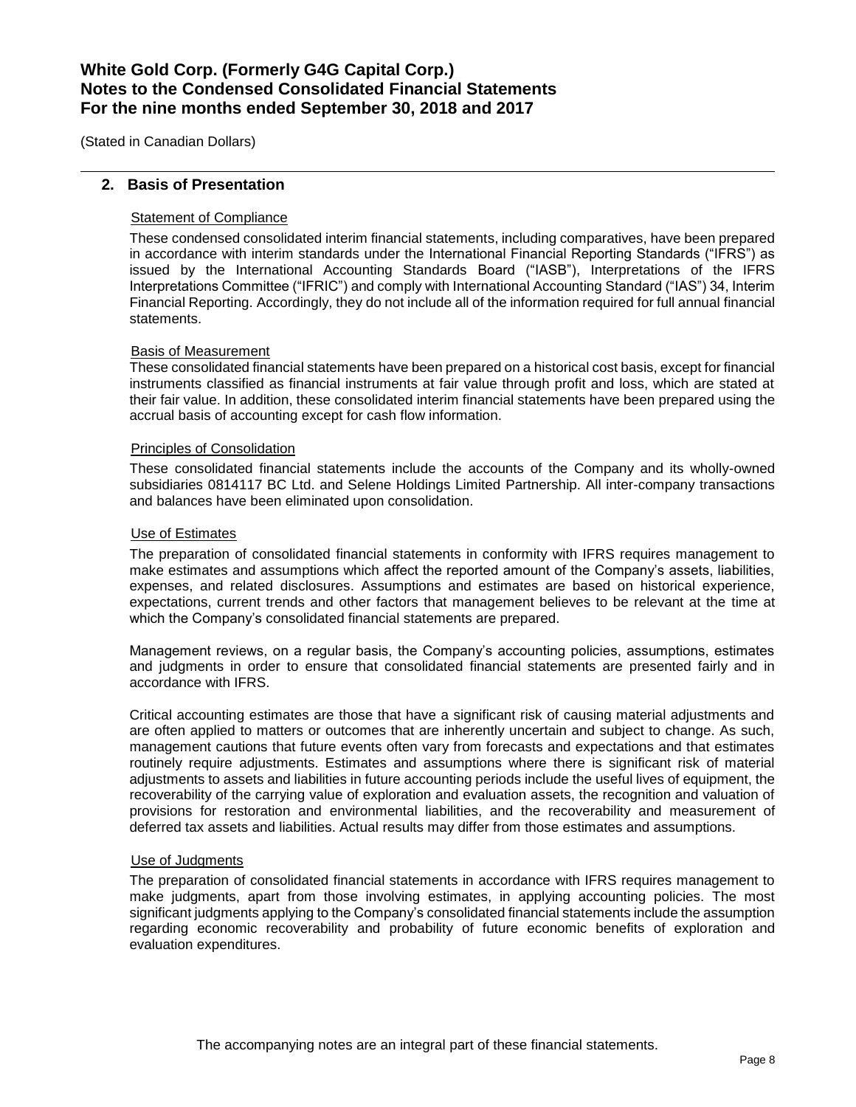(Stated in Canadian Dollars)

### **2. Basis of Presentation**

### Statement of Compliance

These condensed consolidated interim financial statements, including comparatives, have been prepared in accordance with interim standards under the International Financial Reporting Standards ("IFRS") as issued by the International Accounting Standards Board ("IASB"), Interpretations of the IFRS Interpretations Committee ("IFRIC") and comply with International Accounting Standard ("IAS") 34, Interim Financial Reporting. Accordingly, they do not include all of the information required for full annual financial statements.

#### Basis of Measurement

These consolidated financial statements have been prepared on a historical cost basis, except for financial instruments classified as financial instruments at fair value through profit and loss, which are stated at their fair value. In addition, these consolidated interim financial statements have been prepared using the accrual basis of accounting except for cash flow information.

#### Principles of Consolidation

These consolidated financial statements include the accounts of the Company and its wholly-owned subsidiaries 0814117 BC Ltd. and Selene Holdings Limited Partnership. All inter-company transactions and balances have been eliminated upon consolidation.

#### Use of Estimates

The preparation of consolidated financial statements in conformity with IFRS requires management to make estimates and assumptions which affect the reported amount of the Company's assets, liabilities, expenses, and related disclosures. Assumptions and estimates are based on historical experience, expectations, current trends and other factors that management believes to be relevant at the time at which the Company's consolidated financial statements are prepared.

Management reviews, on a regular basis, the Company's accounting policies, assumptions, estimates and judgments in order to ensure that consolidated financial statements are presented fairly and in accordance with IFRS.

Critical accounting estimates are those that have a significant risk of causing material adjustments and are often applied to matters or outcomes that are inherently uncertain and subject to change. As such, management cautions that future events often vary from forecasts and expectations and that estimates routinely require adjustments. Estimates and assumptions where there is significant risk of material adjustments to assets and liabilities in future accounting periods include the useful lives of equipment, the recoverability of the carrying value of exploration and evaluation assets, the recognition and valuation of provisions for restoration and environmental liabilities, and the recoverability and measurement of deferred tax assets and liabilities. Actual results may differ from those estimates and assumptions.

#### Use of Judgments

The preparation of consolidated financial statements in accordance with IFRS requires management to make judgments, apart from those involving estimates, in applying accounting policies. The most significant judgments applying to the Company's consolidated financial statements include the assumption regarding economic recoverability and probability of future economic benefits of exploration and evaluation expenditures.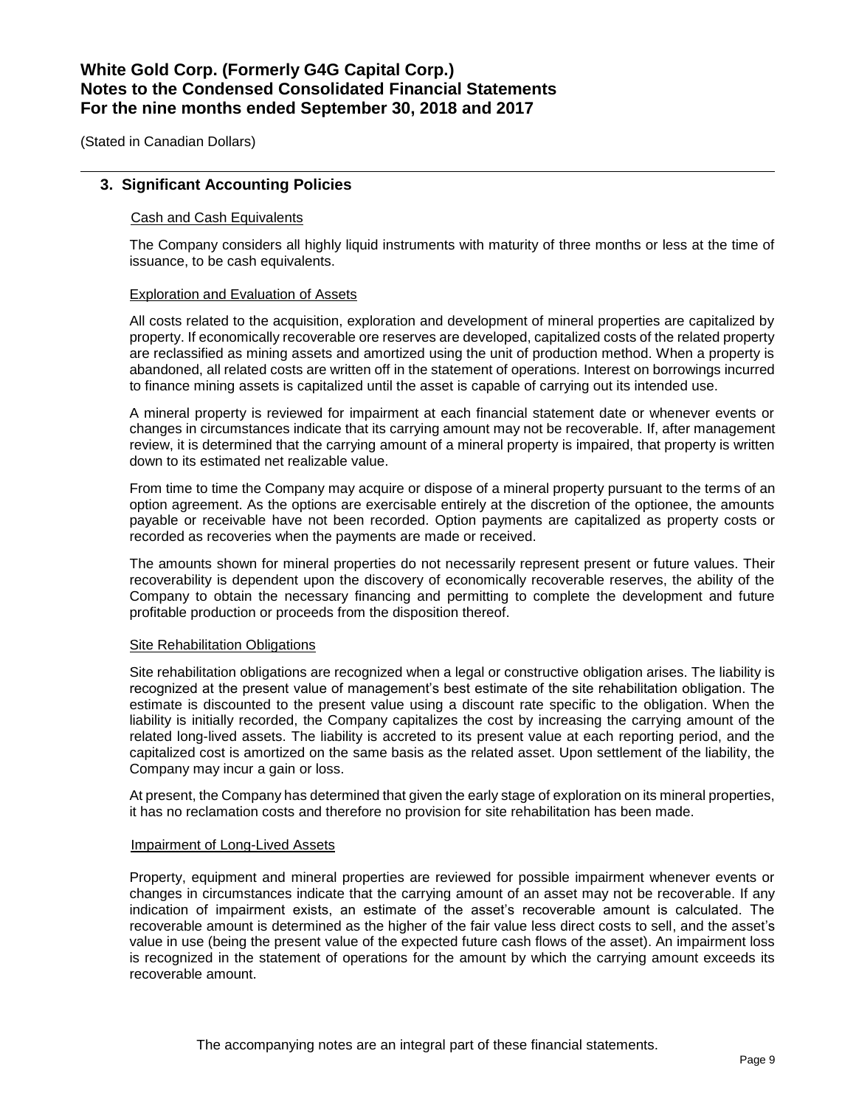(Stated in Canadian Dollars)

### **3. Significant Accounting Policies**

### Cash and Cash Equivalents

The Company considers all highly liquid instruments with maturity of three months or less at the time of issuance, to be cash equivalents.

### Exploration and Evaluation of Assets

All costs related to the acquisition, exploration and development of mineral properties are capitalized by property. If economically recoverable ore reserves are developed, capitalized costs of the related property are reclassified as mining assets and amortized using the unit of production method. When a property is abandoned, all related costs are written off in the statement of operations. Interest on borrowings incurred to finance mining assets is capitalized until the asset is capable of carrying out its intended use.

A mineral property is reviewed for impairment at each financial statement date or whenever events or changes in circumstances indicate that its carrying amount may not be recoverable. If, after management review, it is determined that the carrying amount of a mineral property is impaired, that property is written down to its estimated net realizable value.

From time to time the Company may acquire or dispose of a mineral property pursuant to the terms of an option agreement. As the options are exercisable entirely at the discretion of the optionee, the amounts payable or receivable have not been recorded. Option payments are capitalized as property costs or recorded as recoveries when the payments are made or received.

The amounts shown for mineral properties do not necessarily represent present or future values. Their recoverability is dependent upon the discovery of economically recoverable reserves, the ability of the Company to obtain the necessary financing and permitting to complete the development and future profitable production or proceeds from the disposition thereof.

### Site Rehabilitation Obligations

Site rehabilitation obligations are recognized when a legal or constructive obligation arises. The liability is recognized at the present value of management's best estimate of the site rehabilitation obligation. The estimate is discounted to the present value using a discount rate specific to the obligation. When the liability is initially recorded, the Company capitalizes the cost by increasing the carrying amount of the related long-lived assets. The liability is accreted to its present value at each reporting period, and the capitalized cost is amortized on the same basis as the related asset. Upon settlement of the liability, the Company may incur a gain or loss.

At present, the Company has determined that given the early stage of exploration on its mineral properties, it has no reclamation costs and therefore no provision for site rehabilitation has been made.

### Impairment of Long-Lived Assets

Property, equipment and mineral properties are reviewed for possible impairment whenever events or changes in circumstances indicate that the carrying amount of an asset may not be recoverable. If any indication of impairment exists, an estimate of the asset's recoverable amount is calculated. The recoverable amount is determined as the higher of the fair value less direct costs to sell, and the asset's value in use (being the present value of the expected future cash flows of the asset). An impairment loss is recognized in the statement of operations for the amount by which the carrying amount exceeds its recoverable amount.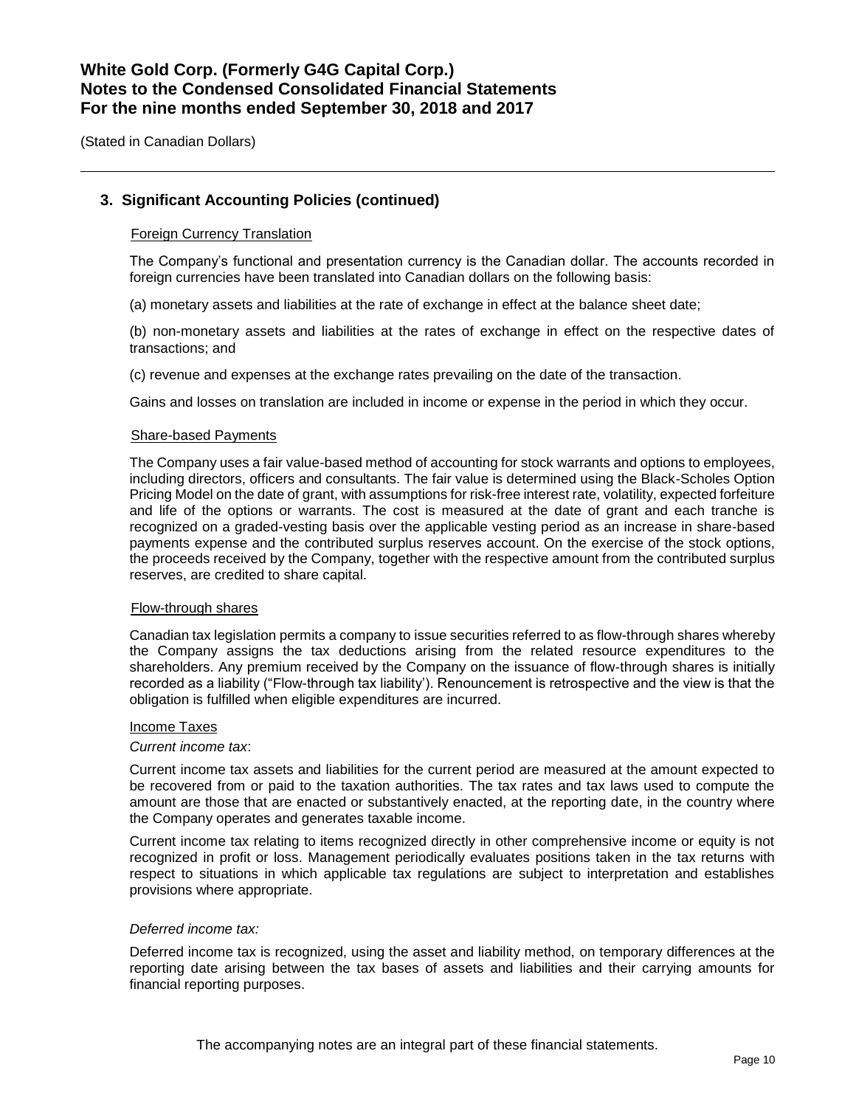(Stated in Canadian Dollars)

### **3. Significant Accounting Policies (continued)**

### Foreign Currency Translation

The Company's functional and presentation currency is the Canadian dollar. The accounts recorded in foreign currencies have been translated into Canadian dollars on the following basis:

(a) monetary assets and liabilities at the rate of exchange in effect at the balance sheet date;

(b) non-monetary assets and liabilities at the rates of exchange in effect on the respective dates of transactions; and

(c) revenue and expenses at the exchange rates prevailing on the date of the transaction.

Gains and losses on translation are included in income or expense in the period in which they occur.

#### Share-based Payments

The Company uses a fair value-based method of accounting for stock warrants and options to employees, including directors, officers and consultants. The fair value is determined using the Black-Scholes Option Pricing Model on the date of grant, with assumptions for risk-free interest rate, volatility, expected forfeiture and life of the options or warrants. The cost is measured at the date of grant and each tranche is recognized on a graded-vesting basis over the applicable vesting period as an increase in share-based payments expense and the contributed surplus reserves account. On the exercise of the stock options, the proceeds received by the Company, together with the respective amount from the contributed surplus reserves, are credited to share capital.

#### Flow-through shares

Canadian tax legislation permits a company to issue securities referred to as flow-through shares whereby the Company assigns the tax deductions arising from the related resource expenditures to the shareholders. Any premium received by the Company on the issuance of flow-through shares is initially recorded as a liability ("Flow-through tax liability'). Renouncement is retrospective and the view is that the obligation is fulfilled when eligible expenditures are incurred.

#### Income Taxes

### *Current income tax*:

Current income tax assets and liabilities for the current period are measured at the amount expected to be recovered from or paid to the taxation authorities. The tax rates and tax laws used to compute the amount are those that are enacted or substantively enacted, at the reporting date, in the country where the Company operates and generates taxable income.

Current income tax relating to items recognized directly in other comprehensive income or equity is not recognized in profit or loss. Management periodically evaluates positions taken in the tax returns with respect to situations in which applicable tax regulations are subject to interpretation and establishes provisions where appropriate.

#### *Deferred income tax:*

Deferred income tax is recognized, using the asset and liability method, on temporary differences at the reporting date arising between the tax bases of assets and liabilities and their carrying amounts for financial reporting purposes.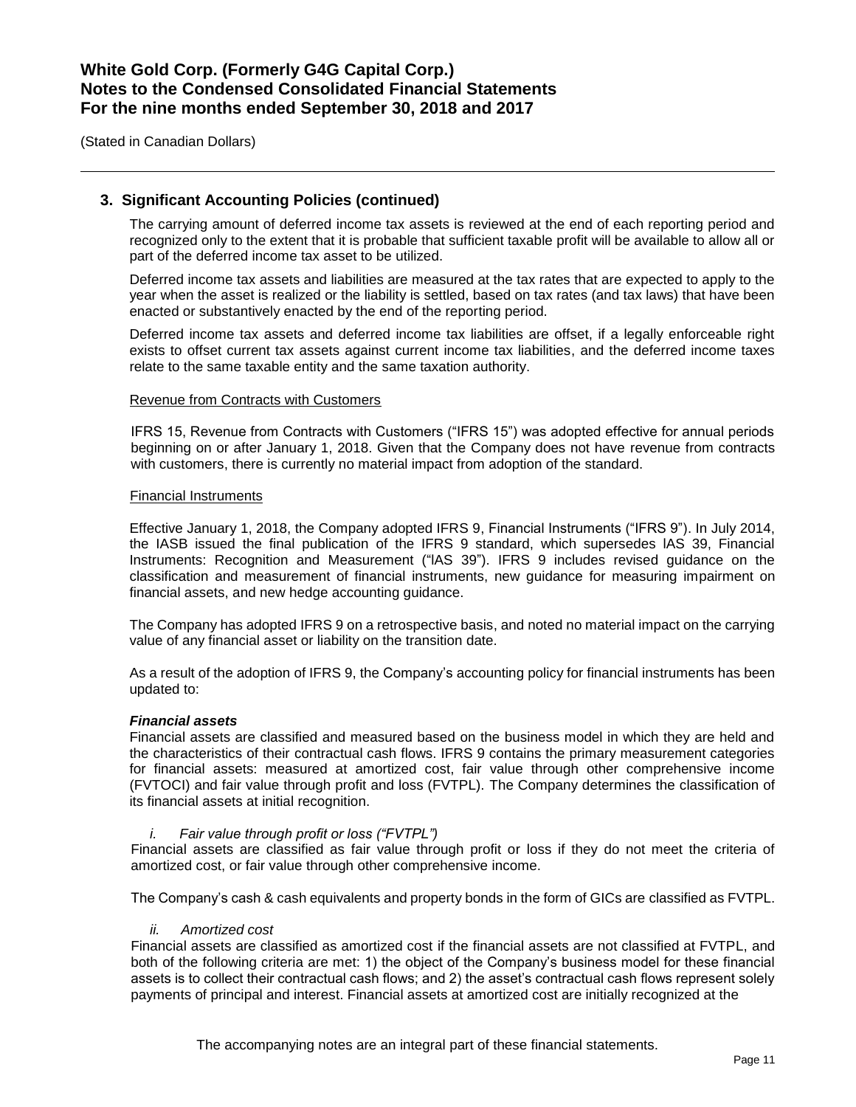(Stated in Canadian Dollars)

### **3. Significant Accounting Policies (continued)**

The carrying amount of deferred income tax assets is reviewed at the end of each reporting period and recognized only to the extent that it is probable that sufficient taxable profit will be available to allow all or part of the deferred income tax asset to be utilized.

Deferred income tax assets and liabilities are measured at the tax rates that are expected to apply to the year when the asset is realized or the liability is settled, based on tax rates (and tax laws) that have been enacted or substantively enacted by the end of the reporting period.

Deferred income tax assets and deferred income tax liabilities are offset, if a legally enforceable right exists to offset current tax assets against current income tax liabilities, and the deferred income taxes relate to the same taxable entity and the same taxation authority.

#### Revenue from Contracts with Customers

IFRS 15, Revenue from Contracts with Customers ("IFRS 15") was adopted effective for annual periods beginning on or after January 1, 2018. Given that the Company does not have revenue from contracts with customers, there is currently no material impact from adoption of the standard.

#### Financial Instruments

Effective January 1, 2018, the Company adopted IFRS 9, Financial Instruments ("IFRS 9"). In July 2014, the IASB issued the final publication of the IFRS 9 standard, which supersedes lAS 39, Financial Instruments: Recognition and Measurement ("lAS 39"). IFRS 9 includes revised guidance on the classification and measurement of financial instruments, new guidance for measuring impairment on financial assets, and new hedge accounting guidance.

The Company has adopted IFRS 9 on a retrospective basis, and noted no material impact on the carrying value of any financial asset or liability on the transition date.

As a result of the adoption of IFRS 9, the Company's accounting policy for financial instruments has been updated to:

#### *Financial assets*

Financial assets are classified and measured based on the business model in which they are held and the characteristics of their contractual cash flows. IFRS 9 contains the primary measurement categories for financial assets: measured at amortized cost, fair value through other comprehensive income (FVTOCI) and fair value through profit and loss (FVTPL). The Company determines the classification of its financial assets at initial recognition.

#### *i. Fair value through profit or loss ("FVTPL")*

Financial assets are classified as fair value through profit or loss if they do not meet the criteria of amortized cost, or fair value through other comprehensive income.

The Company's cash & cash equivalents and property bonds in the form of GICs are classified as FVTPL.

### *ii. Amortized cost*

Financial assets are classified as amortized cost if the financial assets are not classified at FVTPL, and both of the following criteria are met: 1) the object of the Company's business model for these financial assets is to collect their contractual cash flows; and 2) the asset's contractual cash flows represent solely payments of principal and interest. Financial assets at amortized cost are initially recognized at the

The accompanying notes are an integral part of these financial statements.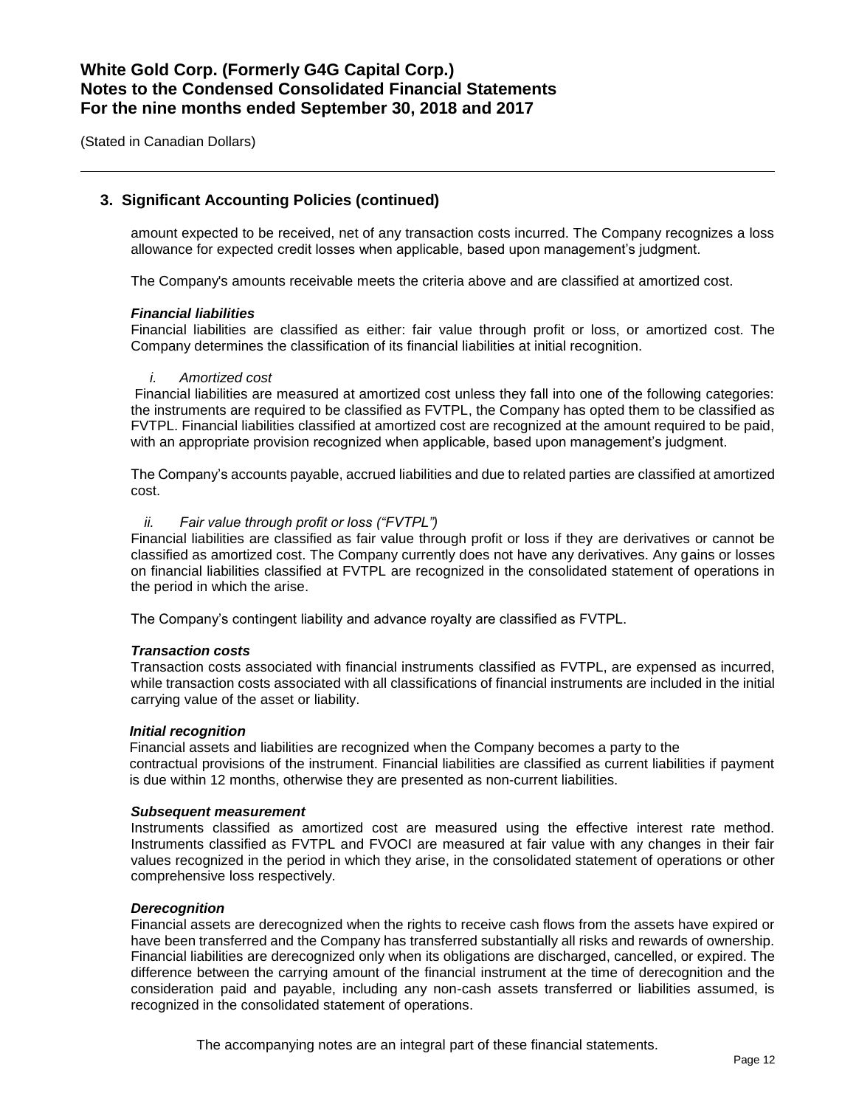(Stated in Canadian Dollars)

### **3. Significant Accounting Policies (continued)**

amount expected to be received, net of any transaction costs incurred. The Company recognizes a loss allowance for expected credit losses when applicable, based upon management's judgment.

The Company's amounts receivable meets the criteria above and are classified at amortized cost.

#### *Financial liabilities*

Financial liabilities are classified as either: fair value through profit or loss, or amortized cost. The Company determines the classification of its financial liabilities at initial recognition.

#### *i. Amortized cost*

Financial liabilities are measured at amortized cost unless they fall into one of the following categories: the instruments are required to be classified as FVTPL, the Company has opted them to be classified as FVTPL. Financial liabilities classified at amortized cost are recognized at the amount required to be paid, with an appropriate provision recognized when applicable, based upon management's judgment.

The Company's accounts payable, accrued liabilities and due to related parties are classified at amortized cost.

#### *ii. Fair value through profit or loss ("FVTPL")*

Financial liabilities are classified as fair value through profit or loss if they are derivatives or cannot be classified as amortized cost. The Company currently does not have any derivatives. Any gains or losses on financial liabilities classified at FVTPL are recognized in the consolidated statement of operations in the period in which the arise.

The Company's contingent liability and advance royalty are classified as FVTPL.

### *Transaction costs*

Transaction costs associated with financial instruments classified as FVTPL, are expensed as incurred, while transaction costs associated with all classifications of financial instruments are included in the initial carrying value of the asset or liability.

#### *Initial recognition*

Financial assets and liabilities are recognized when the Company becomes a party to the contractual provisions of the instrument. Financial liabilities are classified as current liabilities if payment is due within 12 months, otherwise they are presented as non-current liabilities.

#### *Subsequent measurement*

Instruments classified as amortized cost are measured using the effective interest rate method. Instruments classified as FVTPL and FVOCI are measured at fair value with any changes in their fair values recognized in the period in which they arise, in the consolidated statement of operations or other comprehensive loss respectively.

### *Derecognition*

Financial assets are derecognized when the rights to receive cash flows from the assets have expired or have been transferred and the Company has transferred substantially all risks and rewards of ownership. Financial liabilities are derecognized only when its obligations are discharged, cancelled, or expired. The difference between the carrying amount of the financial instrument at the time of derecognition and the consideration paid and payable, including any non-cash assets transferred or liabilities assumed, is recognized in the consolidated statement of operations.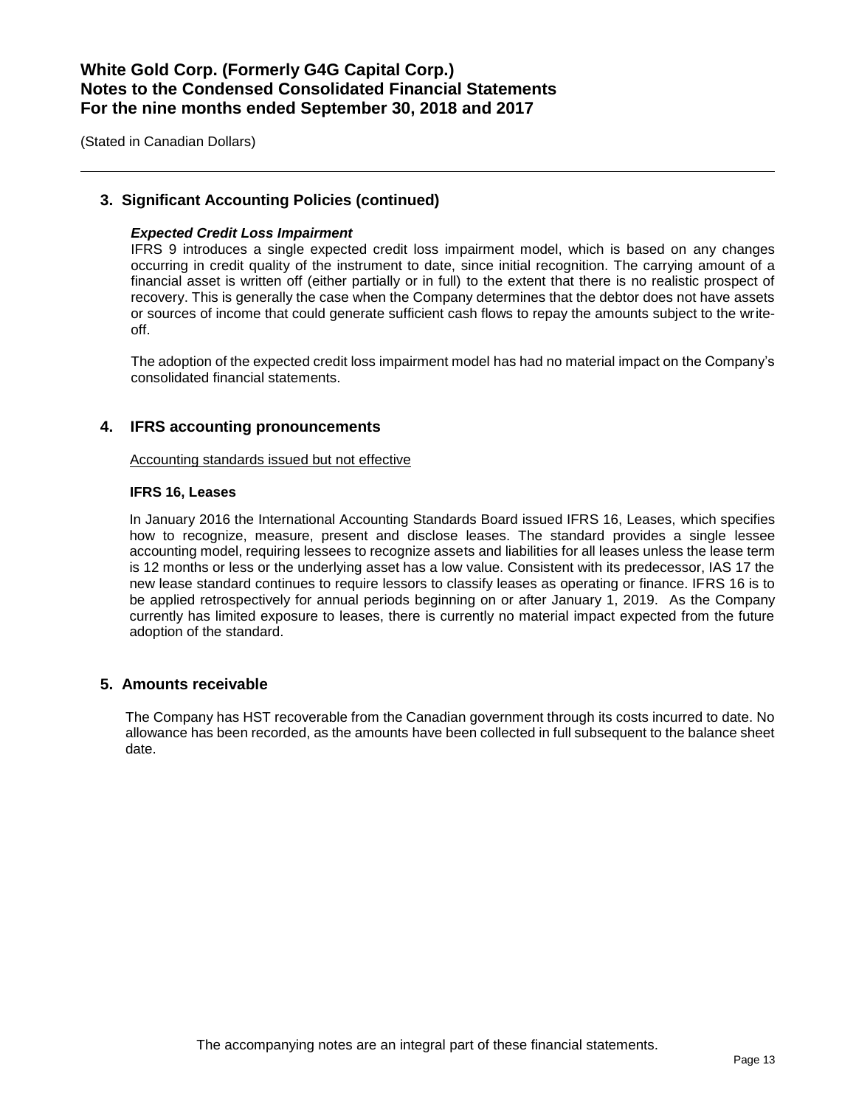(Stated in Canadian Dollars)

### **3. Significant Accounting Policies (continued)**

### *Expected Credit Loss Impairment*

IFRS 9 introduces a single expected credit loss impairment model, which is based on any changes occurring in credit quality of the instrument to date, since initial recognition. The carrying amount of a financial asset is written off (either partially or in full) to the extent that there is no realistic prospect of recovery. This is generally the case when the Company determines that the debtor does not have assets or sources of income that could generate sufficient cash flows to repay the amounts subject to the writeoff.

The adoption of the expected credit loss impairment model has had no material impact on the Company's consolidated financial statements.

### **4. IFRS accounting pronouncements**

### Accounting standards issued but not effective

### **IFRS 16, Leases**

In January 2016 the International Accounting Standards Board issued IFRS 16, Leases, which specifies how to recognize, measure, present and disclose leases. The standard provides a single lessee accounting model, requiring lessees to recognize assets and liabilities for all leases unless the lease term is 12 months or less or the underlying asset has a low value. Consistent with its predecessor, IAS 17 the new lease standard continues to require lessors to classify leases as operating or finance. IFRS 16 is to be applied retrospectively for annual periods beginning on or after January 1, 2019. As the Company currently has limited exposure to leases, there is currently no material impact expected from the future adoption of the standard.

### **5. Amounts receivable**

The Company has HST recoverable from the Canadian government through its costs incurred to date. No allowance has been recorded, as the amounts have been collected in full subsequent to the balance sheet date.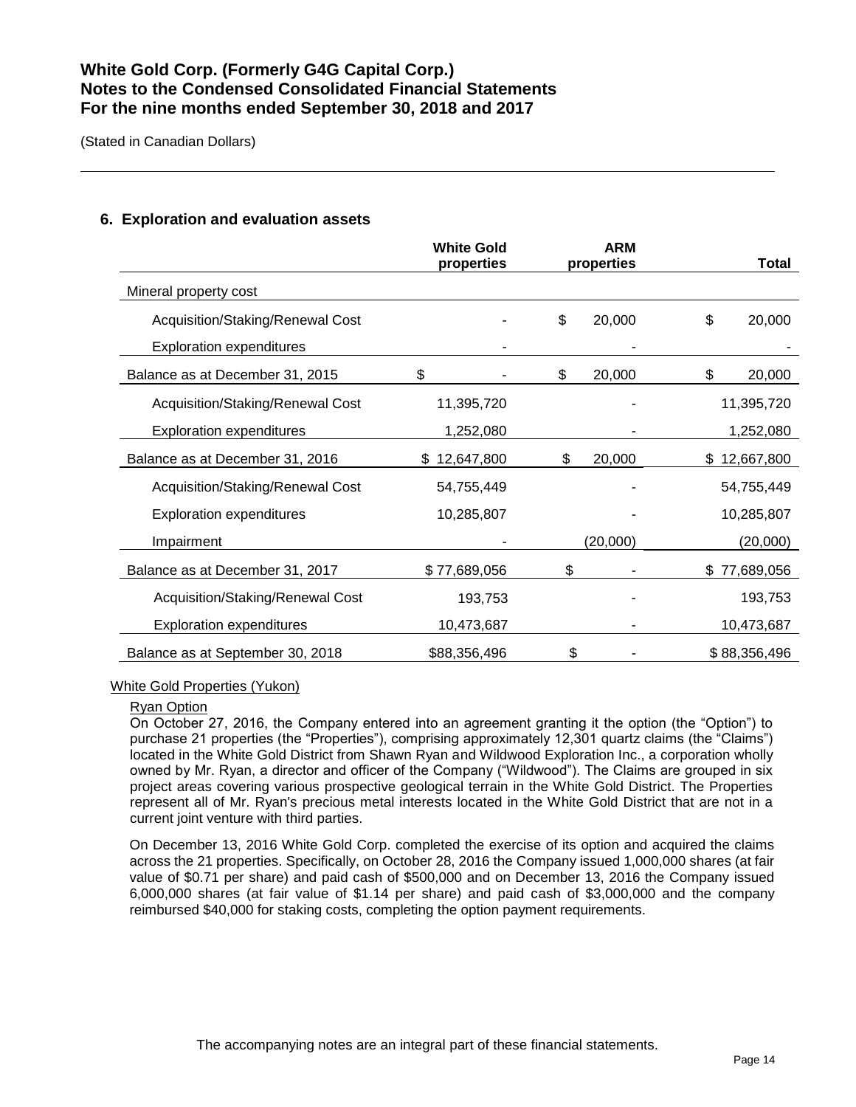(Stated in Canadian Dollars)

# **White Gold properties ARM properties Total** Mineral property cost Acquisition/Staking/Renewal Cost - \$ 20,000 \$ 20,000 Exploration expenditures Balance as at December 31, 2015  $$ 1, 2015$   $$ 20,000$   $$ 20,000$ Acquisition/Staking/Renewal Cost 11,395,720 - 11,395,720 Exploration expenditures 1,252,080 - 1,252,080 Balance as at December 31, 2016  $$ 12,647,800$   $$ 20,000$   $$ 12,667,800$ Acquisition/Staking/Renewal Cost 54,755,449 - 54,755,449 Exploration expenditures 10,285,807 - 10,285,807 Impairment - (20,000) (20,000) Balance as at December 31, 2017  $$77,689,056$   $$$  -  $$77,689,056$ Acquisition/Staking/Renewal Cost 193,753 - 193,753 Exploration expenditures 10,473,687 - 10,473,687 - 10,473,687 Balance as at September 30, 2018  $$88,356,496$   $$356,496$   $$88,356,496$

## **6. Exploration and evaluation assets**

### White Gold Properties (Yukon)

### Ryan Option

On October 27, 2016, the Company entered into an agreement granting it the option (the "Option") to purchase 21 properties (the "Properties"), comprising approximately 12,301 quartz claims (the "Claims") located in the White Gold District from Shawn Ryan and Wildwood Exploration Inc., a corporation wholly owned by Mr. Ryan, a director and officer of the Company ("Wildwood"). The Claims are grouped in six project areas covering various prospective geological terrain in the White Gold District. The Properties represent all of Mr. Ryan's precious metal interests located in the White Gold District that are not in a current joint venture with third parties.

On December 13, 2016 White Gold Corp. completed the exercise of its option and acquired the claims across the 21 properties. Specifically, on October 28, 2016 the Company issued 1,000,000 shares (at fair value of \$0.71 per share) and paid cash of \$500,000 and on December 13, 2016 the Company issued 6,000,000 shares (at fair value of \$1.14 per share) and paid cash of \$3,000,000 and the company reimbursed \$40,000 for staking costs, completing the option payment requirements.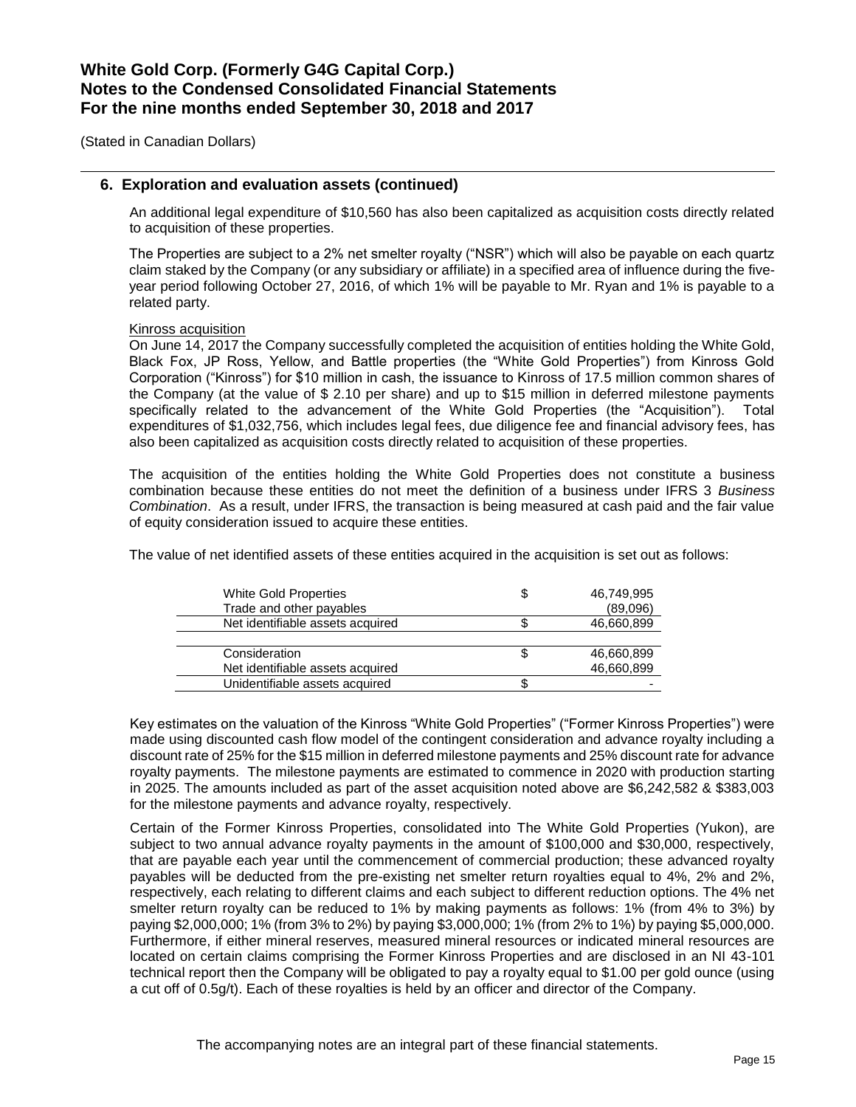(Stated in Canadian Dollars)

### **6. Exploration and evaluation assets (continued)**

An additional legal expenditure of \$10,560 has also been capitalized as acquisition costs directly related to acquisition of these properties.

The Properties are subject to a 2% net smelter royalty ("NSR") which will also be payable on each quartz claim staked by the Company (or any subsidiary or affiliate) in a specified area of influence during the fiveyear period following October 27, 2016, of which 1% will be payable to Mr. Ryan and 1% is payable to a related party.

#### Kinross acquisition

On June 14, 2017 the Company successfully completed the acquisition of entities holding the White Gold, Black Fox, JP Ross, Yellow, and Battle properties (the "White Gold Properties") from Kinross Gold Corporation ("Kinross") for \$10 million in cash, the issuance to Kinross of 17.5 million common shares of the Company (at the value of \$ 2.10 per share) and up to \$15 million in deferred milestone payments specifically related to the advancement of the White Gold Properties (the "Acquisition"). Total expenditures of \$1,032,756, which includes legal fees, due diligence fee and financial advisory fees, has also been capitalized as acquisition costs directly related to acquisition of these properties.

The acquisition of the entities holding the White Gold Properties does not constitute a business combination because these entities do not meet the definition of a business under IFRS 3 *Business Combination*. As a result, under IFRS, the transaction is being measured at cash paid and the fair value of equity consideration issued to acquire these entities.

The value of net identified assets of these entities acquired in the acquisition is set out as follows:

| White Gold Properties<br>Trade and other payables | 46,749,995<br>(89,096) |
|---------------------------------------------------|------------------------|
| Net identifiable assets acquired                  | 46,660,899             |
|                                                   |                        |
| Consideration                                     | 46,660,899             |
| Net identifiable assets acquired                  | 46,660,899             |
| Unidentifiable assets acquired                    |                        |

Key estimates on the valuation of the Kinross "White Gold Properties" ("Former Kinross Properties") were made using discounted cash flow model of the contingent consideration and advance royalty including a discount rate of 25% for the \$15 million in deferred milestone payments and 25% discount rate for advance royalty payments. The milestone payments are estimated to commence in 2020 with production starting in 2025. The amounts included as part of the asset acquisition noted above are \$6,242,582 & \$383,003 for the milestone payments and advance royalty, respectively.

Certain of the Former Kinross Properties, consolidated into The White Gold Properties (Yukon), are subject to two annual advance royalty payments in the amount of \$100,000 and \$30,000, respectively, that are payable each year until the commencement of commercial production; these advanced royalty payables will be deducted from the pre-existing net smelter return royalties equal to 4%, 2% and 2%, respectively, each relating to different claims and each subject to different reduction options. The 4% net smelter return royalty can be reduced to 1% by making payments as follows: 1% (from 4% to 3%) by paying \$2,000,000; 1% (from 3% to 2%) by paying \$3,000,000; 1% (from 2% to 1%) by paying \$5,000,000. Furthermore, if either mineral reserves, measured mineral resources or indicated mineral resources are located on certain claims comprising the Former Kinross Properties and are disclosed in an NI 43-101 technical report then the Company will be obligated to pay a royalty equal to \$1.00 per gold ounce (using a cut off of 0.5g/t). Each of these royalties is held by an officer and director of the Company.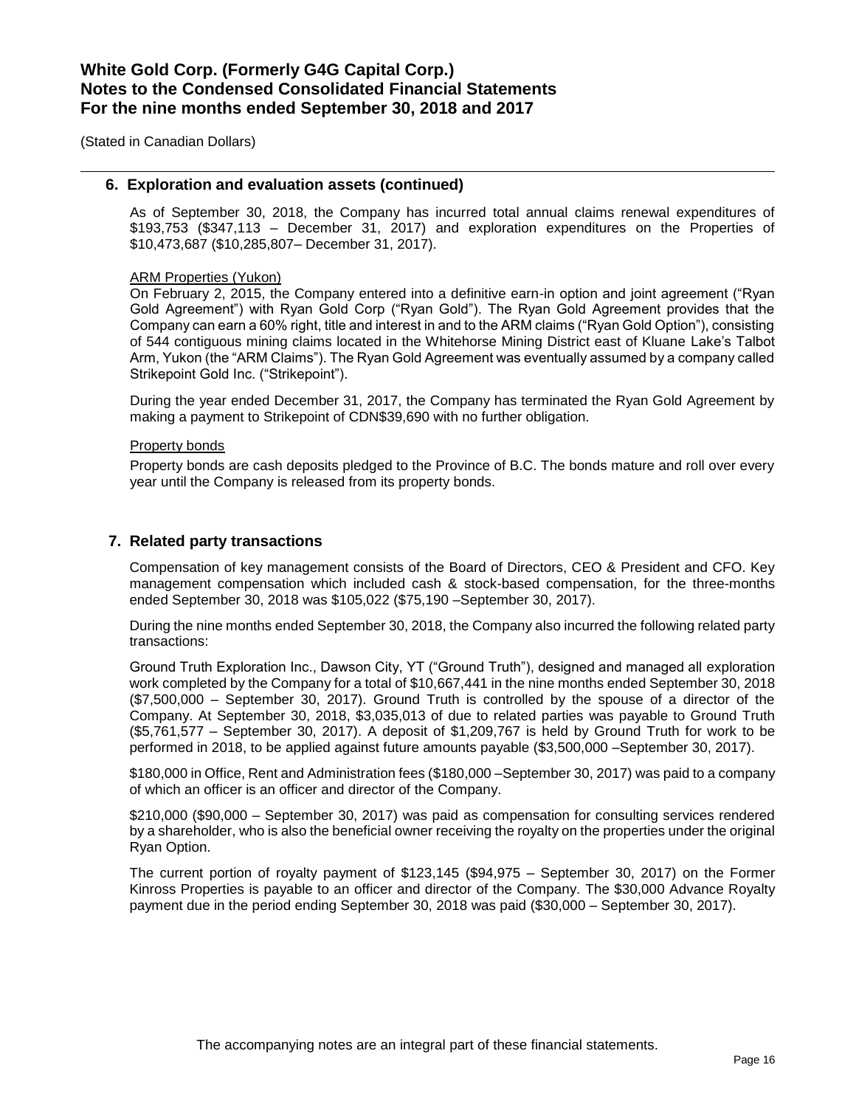(Stated in Canadian Dollars)

### **6. Exploration and evaluation assets (continued)**

As of September 30, 2018, the Company has incurred total annual claims renewal expenditures of \$193,753 (\$347,113 – December 31, 2017) and exploration expenditures on the Properties of \$10,473,687 (\$10,285,807– December 31, 2017).

#### ARM Properties (Yukon)

On February 2, 2015, the Company entered into a definitive earn-in option and joint agreement ("Ryan Gold Agreement") with Ryan Gold Corp ("Ryan Gold"). The Ryan Gold Agreement provides that the Company can earn a 60% right, title and interest in and to the ARM claims ("Ryan Gold Option"), consisting of 544 contiguous mining claims located in the Whitehorse Mining District east of Kluane Lake's Talbot Arm, Yukon (the "ARM Claims"). The Ryan Gold Agreement was eventually assumed by a company called Strikepoint Gold Inc. ("Strikepoint").

During the year ended December 31, 2017, the Company has terminated the Ryan Gold Agreement by making a payment to Strikepoint of CDN\$39,690 with no further obligation.

#### Property bonds

Property bonds are cash deposits pledged to the Province of B.C. The bonds mature and roll over every year until the Company is released from its property bonds.

### **7. Related party transactions**

Compensation of key management consists of the Board of Directors, CEO & President and CFO. Key management compensation which included cash & stock-based compensation, for the three-months ended September 30, 2018 was \$105,022 (\$75,190 –September 30, 2017).

During the nine months ended September 30, 2018, the Company also incurred the following related party transactions:

Ground Truth Exploration Inc., Dawson City, YT ("Ground Truth"), designed and managed all exploration work completed by the Company for a total of \$10,667,441 in the nine months ended September 30, 2018 (\$7,500,000 – September 30, 2017). Ground Truth is controlled by the spouse of a director of the Company. At September 30, 2018, \$3,035,013 of due to related parties was payable to Ground Truth (\$5,761,577 – September 30, 2017). A deposit of \$1,209,767 is held by Ground Truth for work to be performed in 2018, to be applied against future amounts payable (\$3,500,000 –September 30, 2017).

\$180,000 in Office, Rent and Administration fees (\$180,000 –September 30, 2017) was paid to a company of which an officer is an officer and director of the Company.

\$210,000 (\$90,000 – September 30, 2017) was paid as compensation for consulting services rendered by a shareholder, who is also the beneficial owner receiving the royalty on the properties under the original Ryan Option.

The current portion of royalty payment of \$123,145 (\$94,975 – September 30, 2017) on the Former Kinross Properties is payable to an officer and director of the Company. The \$30,000 Advance Royalty payment due in the period ending September 30, 2018 was paid (\$30,000 – September 30, 2017).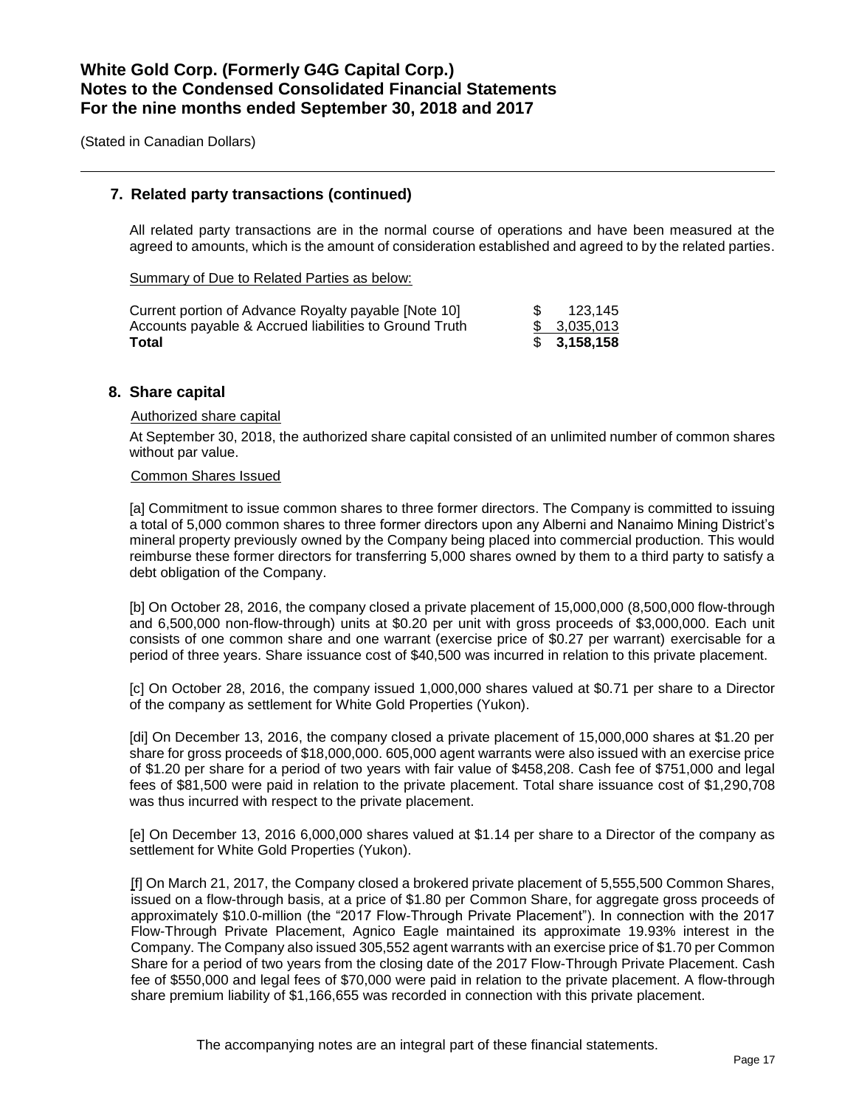(Stated in Canadian Dollars)

### **7. Related party transactions (continued)**

All related party transactions are in the normal course of operations and have been measured at the agreed to amounts, which is the amount of consideration established and agreed to by the related parties.

Summary of Due to Related Parties as below:

| Current portion of Advance Royalty payable [Note 10]   | SG. | 123.145     |
|--------------------------------------------------------|-----|-------------|
| Accounts payable & Accrued liabilities to Ground Truth |     | \$3,035,013 |
| Total                                                  |     | \$3.158,158 |

### **8. Share capital**

### Authorized share capital

At September 30, 2018, the authorized share capital consisted of an unlimited number of common shares without par value.

#### Common Shares Issued

[a] Commitment to issue common shares to three former directors. The Company is committed to issuing a total of 5,000 common shares to three former directors upon any Alberni and Nanaimo Mining District's mineral property previously owned by the Company being placed into commercial production. This would reimburse these former directors for transferring 5,000 shares owned by them to a third party to satisfy a debt obligation of the Company.

[b] On October 28, 2016, the company closed a private placement of 15,000,000 (8,500,000 flow-through and 6,500,000 non-flow-through) units at \$0.20 per unit with gross proceeds of \$3,000,000. Each unit consists of one common share and one warrant (exercise price of \$0.27 per warrant) exercisable for a period of three years. Share issuance cost of \$40,500 was incurred in relation to this private placement.

[c] On October 28, 2016, the company issued 1,000,000 shares valued at \$0.71 per share to a Director of the company as settlement for White Gold Properties (Yukon).

[di] On December 13, 2016, the company closed a private placement of 15,000,000 shares at \$1.20 per share for gross proceeds of \$18,000,000. 605,000 agent warrants were also issued with an exercise price of \$1.20 per share for a period of two years with fair value of \$458,208. Cash fee of \$751,000 and legal fees of \$81,500 were paid in relation to the private placement. Total share issuance cost of \$1,290,708 was thus incurred with respect to the private placement.

[e] On December 13, 2016 6,000,000 shares valued at \$1.14 per share to a Director of the company as settlement for White Gold Properties (Yukon).

[f] On March 21, 2017, the Company closed a brokered private placement of 5,555,500 Common Shares, issued on a flow-through basis, at a price of \$1.80 per Common Share, for aggregate gross proceeds of approximately \$10.0-million (the "2017 Flow-Through Private Placement"). In connection with the 2017 Flow-Through Private Placement, Agnico Eagle maintained its approximate 19.93% interest in the Company. The Company also issued 305,552 agent warrants with an exercise price of \$1.70 per Common Share for a period of two years from the closing date of the 2017 Flow-Through Private Placement. Cash fee of \$550,000 and legal fees of \$70,000 were paid in relation to the private placement. A flow-through share premium liability of \$1,166,655 was recorded in connection with this private placement.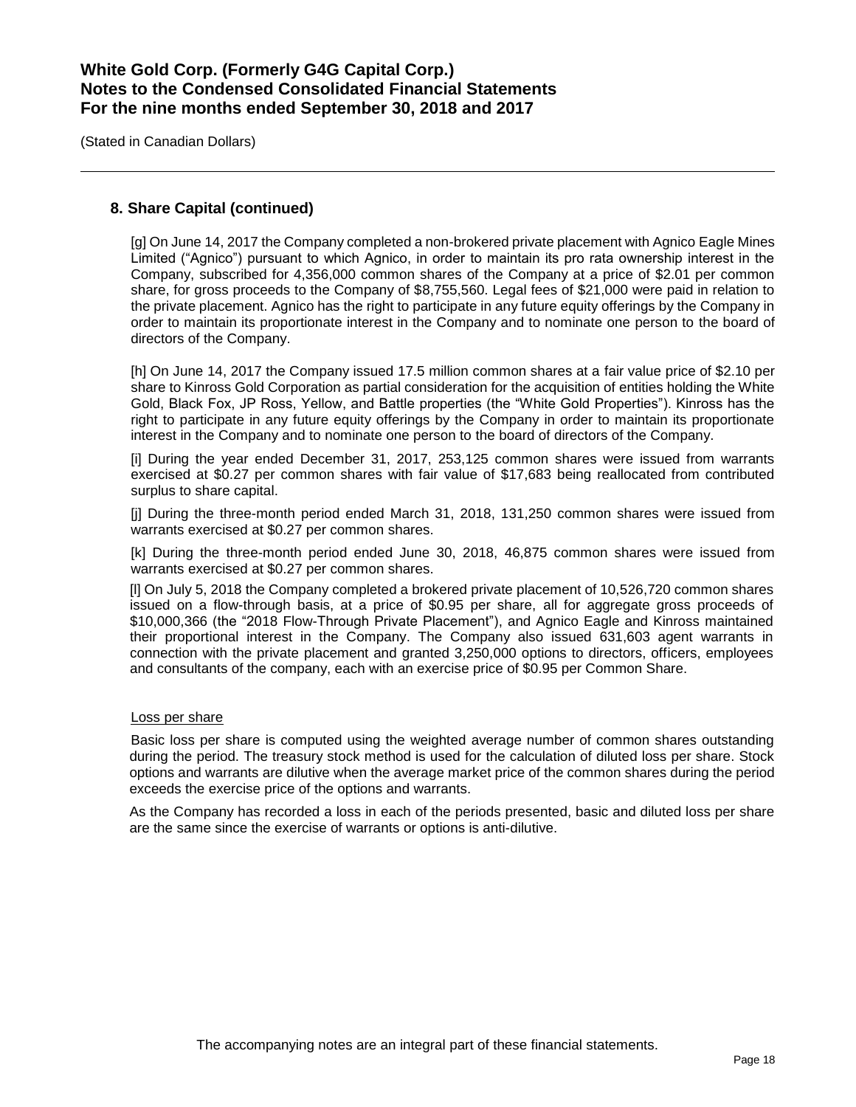(Stated in Canadian Dollars)

### **8. Share Capital (continued)**

[g] On June 14, 2017 the Company completed a non-brokered private placement with Agnico Eagle Mines Limited ("Agnico") pursuant to which Agnico, in order to maintain its pro rata ownership interest in the Company, subscribed for 4,356,000 common shares of the Company at a price of \$2.01 per common share, for gross proceeds to the Company of \$8,755,560. Legal fees of \$21,000 were paid in relation to the private placement. Agnico has the right to participate in any future equity offerings by the Company in order to maintain its proportionate interest in the Company and to nominate one person to the board of directors of the Company.

[h] On June 14, 2017 the Company issued 17.5 million common shares at a fair value price of \$2.10 per share to Kinross Gold Corporation as partial consideration for the acquisition of entities holding the White Gold, Black Fox, JP Ross, Yellow, and Battle properties (the "White Gold Properties"). Kinross has the right to participate in any future equity offerings by the Company in order to maintain its proportionate interest in the Company and to nominate one person to the board of directors of the Company.

[i] During the year ended December 31, 2017, 253,125 common shares were issued from warrants exercised at \$0.27 per common shares with fair value of \$17,683 being reallocated from contributed surplus to share capital.

[j] During the three-month period ended March 31, 2018, 131,250 common shares were issued from warrants exercised at \$0.27 per common shares.

[k] During the three-month period ended June 30, 2018, 46,875 common shares were issued from warrants exercised at \$0.27 per common shares.

[l] On July 5, 2018 the Company completed a brokered private placement of 10,526,720 common shares issued on a flow-through basis, at a price of \$0.95 per share, all for aggregate gross proceeds of \$10,000,366 (the "2018 Flow-Through Private Placement"), and Agnico Eagle and Kinross maintained their proportional interest in the Company. The Company also issued 631,603 agent warrants in connection with the private placement and granted 3,250,000 options to directors, officers, employees and consultants of the company, each with an exercise price of \$0.95 per Common Share.

#### Loss per share

Basic loss per share is computed using the weighted average number of common shares outstanding during the period. The treasury stock method is used for the calculation of diluted loss per share. Stock options and warrants are dilutive when the average market price of the common shares during the period exceeds the exercise price of the options and warrants.

As the Company has recorded a loss in each of the periods presented, basic and diluted loss per share are the same since the exercise of warrants or options is anti-dilutive.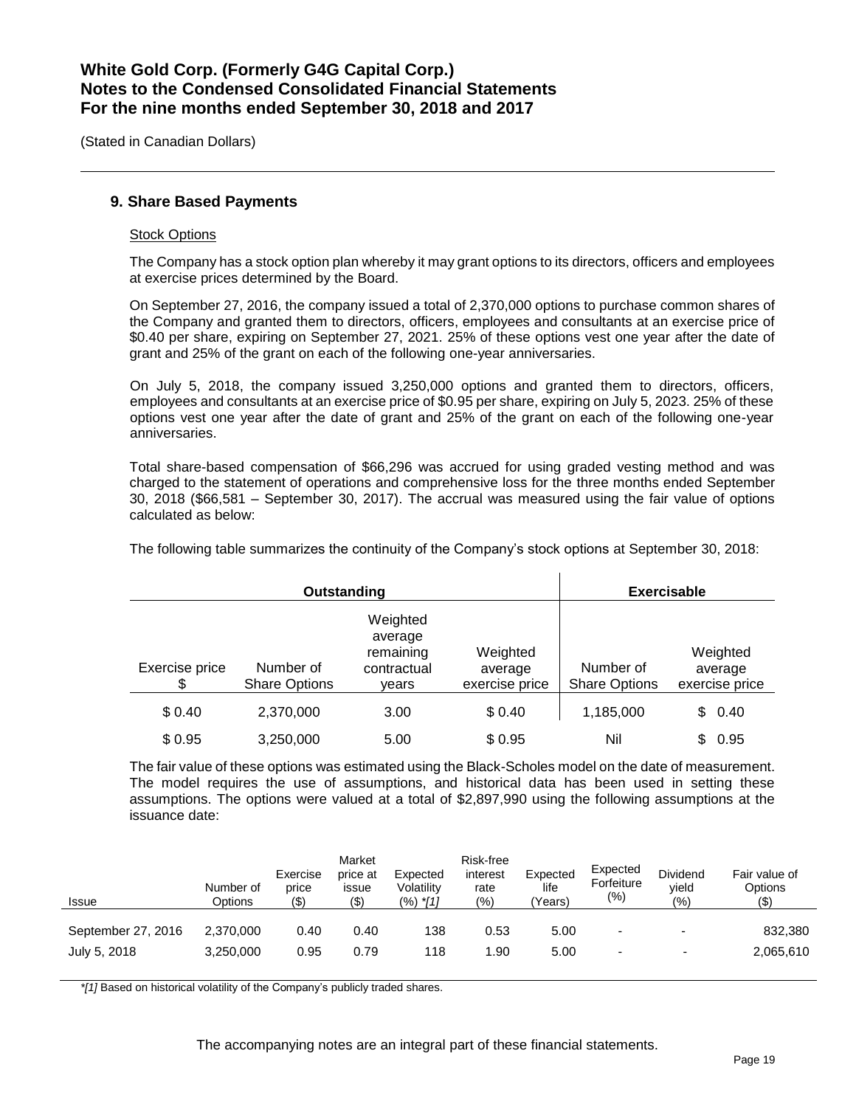(Stated in Canadian Dollars)

### **9. Share Based Payments**

#### Stock Options

The Company has a stock option plan whereby it may grant options to its directors, officers and employees at exercise prices determined by the Board.

On September 27, 2016, the company issued a total of 2,370,000 options to purchase common shares of the Company and granted them to directors, officers, employees and consultants at an exercise price of \$0.40 per share, expiring on September 27, 2021. 25% of these options vest one year after the date of grant and 25% of the grant on each of the following one-year anniversaries.

On July 5, 2018, the company issued 3,250,000 options and granted them to directors, officers, employees and consultants at an exercise price of \$0.95 per share, expiring on July 5, 2023. 25% of these options vest one year after the date of grant and 25% of the grant on each of the following one-year anniversaries.

Total share-based compensation of \$66,296 was accrued for using graded vesting method and was charged to the statement of operations and comprehensive loss for the three months ended September 30, 2018 (\$66,581 – September 30, 2017). The accrual was measured using the fair value of options calculated as below:

**Outstanding Exercisable** Exercise price \$ Number of Share Options Weighted average remaining contractual years Weighted average exercise price Number of Share Options Weighted average exercise price \$ 0.40 2,370,000 3.00 \$ 0.40 1,185,000 \$ 0.40  $$0.95$  3,250,000 5.00 \$ 0.95 Nil \$ 0.95

The following table summarizes the continuity of the Company's stock options at September 30, 2018:

The fair value of these options was estimated using the Black-Scholes model on the date of measurement. The model requires the use of assumptions, and historical data has been used in setting these assumptions. The options were valued at a total of \$2,897,990 using the following assumptions at the issuance date:

| Issue              | Number of<br>Options | Exercise<br>price<br>(\$) | Market<br>price at<br>issue<br>(\$) | Expected<br>Volatility<br>(%) *[1] | Risk-free<br>interest<br>rate<br>$\frac{(0)}{0}$ | Expected<br>life<br>'Years) | Expected<br>Forfeiture<br>(%) | Dividend<br>vield<br>(%) | Fair value of<br>Options<br>(\$) |
|--------------------|----------------------|---------------------------|-------------------------------------|------------------------------------|--------------------------------------------------|-----------------------------|-------------------------------|--------------------------|----------------------------------|
| September 27, 2016 | 2.370.000            | 0.40                      | 0.40                                | 138                                | 0.53                                             | 5.00                        |                               | $\overline{\phantom{0}}$ | 832,380                          |
| July 5, 2018       | 3,250,000            | 0.95                      | 0.79                                | 118                                | .90                                              | 5.00                        |                               |                          | 2,065,610                        |

*\*[1]* Based on historical volatility of the Company's publicly traded shares.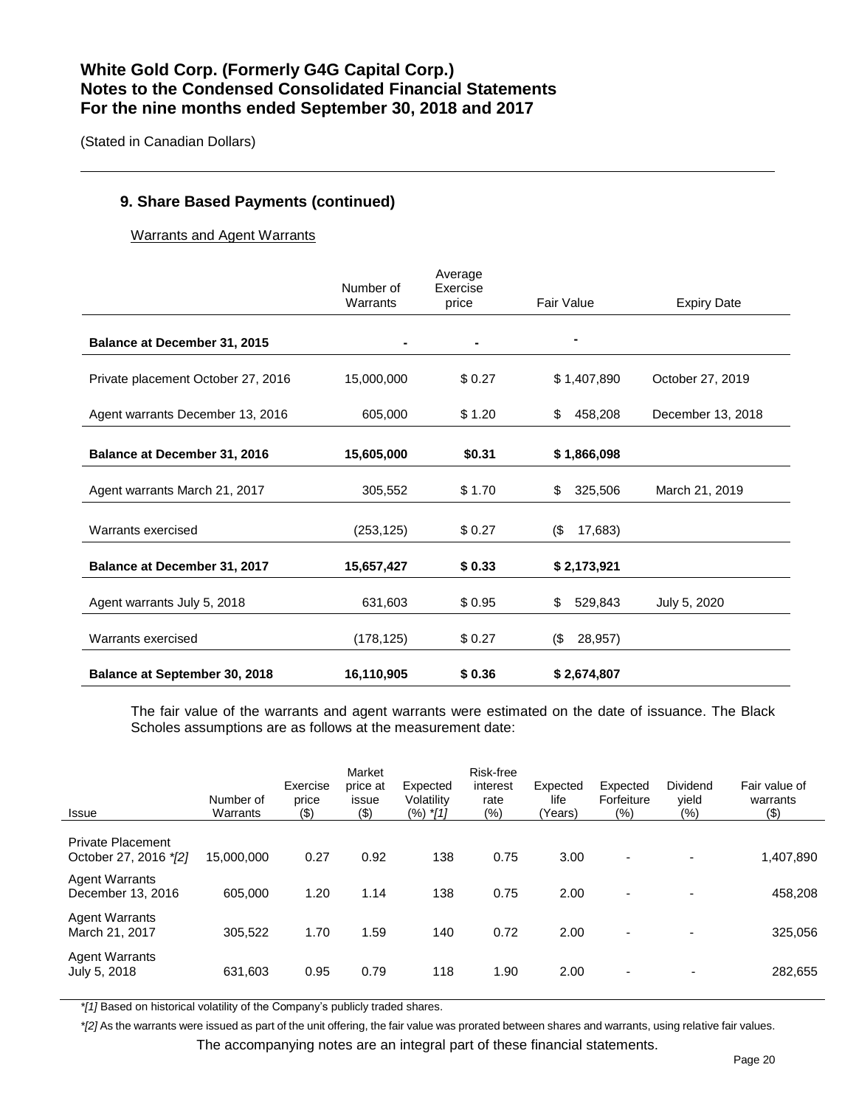(Stated in Canadian Dollars)

### **9. Share Based Payments (continued)**

Warrants and Agent Warrants

|                                      | Number of  | Average<br>Exercise |                |                    |
|--------------------------------------|------------|---------------------|----------------|--------------------|
|                                      | Warrants   | price               | Fair Value     | <b>Expiry Date</b> |
| Balance at December 31, 2015         |            |                     |                |                    |
| Private placement October 27, 2016   | 15,000,000 | \$0.27              | \$1,407,890    | October 27, 2019   |
| Agent warrants December 13, 2016     | 605,000    | \$1.20              | 458,208<br>\$  | December 13, 2018  |
| Balance at December 31, 2016         | 15,605,000 | \$0.31              | \$1,866,098    |                    |
| Agent warrants March 21, 2017        | 305,552    | \$1.70              | 325,506<br>\$  | March 21, 2019     |
| Warrants exercised                   | (253, 125) | \$0.27              | (\$<br>17,683) |                    |
| Balance at December 31, 2017         | 15,657,427 | \$0.33              | \$2,173,921    |                    |
| Agent warrants July 5, 2018          | 631,603    | \$0.95              | 529,843<br>\$  | July 5, 2020       |
| Warrants exercised                   | (178, 125) | \$0.27              | (\$<br>28,957) |                    |
| <b>Balance at September 30, 2018</b> | 16,110,905 | \$0.36              | \$2,674,807    |                    |

The fair value of the warrants and agent warrants were estimated on the date of issuance. The Black Scholes assumptions are as follows at the measurement date:

| <b>Issue</b>                                      | Number of<br>Warrants | Exercise<br>price<br>$($ \$) | Market<br>price at<br>issue<br>$($ \$) | Expected<br>Volatility<br>$(%)$ *[1] | Risk-free<br>interest<br>rate<br>$(\% )$ | Expected<br>life<br>(Years) | Expected<br>Forfeiture<br>(%) | Dividend<br>vield<br>$(\% )$ | Fair value of<br>warrants<br>(3) |
|---------------------------------------------------|-----------------------|------------------------------|----------------------------------------|--------------------------------------|------------------------------------------|-----------------------------|-------------------------------|------------------------------|----------------------------------|
| <b>Private Placement</b><br>October 27, 2016 */2] | 15,000,000            | 0.27                         | 0.92                                   | 138                                  | 0.75                                     | 3.00                        | $\blacksquare$                |                              | 1,407,890                        |
| <b>Agent Warrants</b><br>December 13, 2016        | 605.000               | 1.20                         | 1.14                                   | 138                                  | 0.75                                     | 2.00                        | $\overline{\phantom{0}}$      |                              | 458,208                          |
| <b>Agent Warrants</b><br>March 21, 2017           | 305.522               | 1.70                         | 1.59                                   | 140                                  | 0.72                                     | 2.00                        | $\overline{\phantom{a}}$      |                              | 325,056                          |
| <b>Agent Warrants</b><br>July 5, 2018             | 631,603               | 0.95                         | 0.79                                   | 118                                  | 1.90                                     | 2.00                        | $\overline{\phantom{a}}$      | ٠                            | 282,655                          |

*\*[1]* Based on historical volatility of the Company's publicly traded shares.

*\*[2]* As the warrants were issued as part of the unit offering, the fair value was prorated between shares and warrants, using relative fair values.

The accompanying notes are an integral part of these financial statements.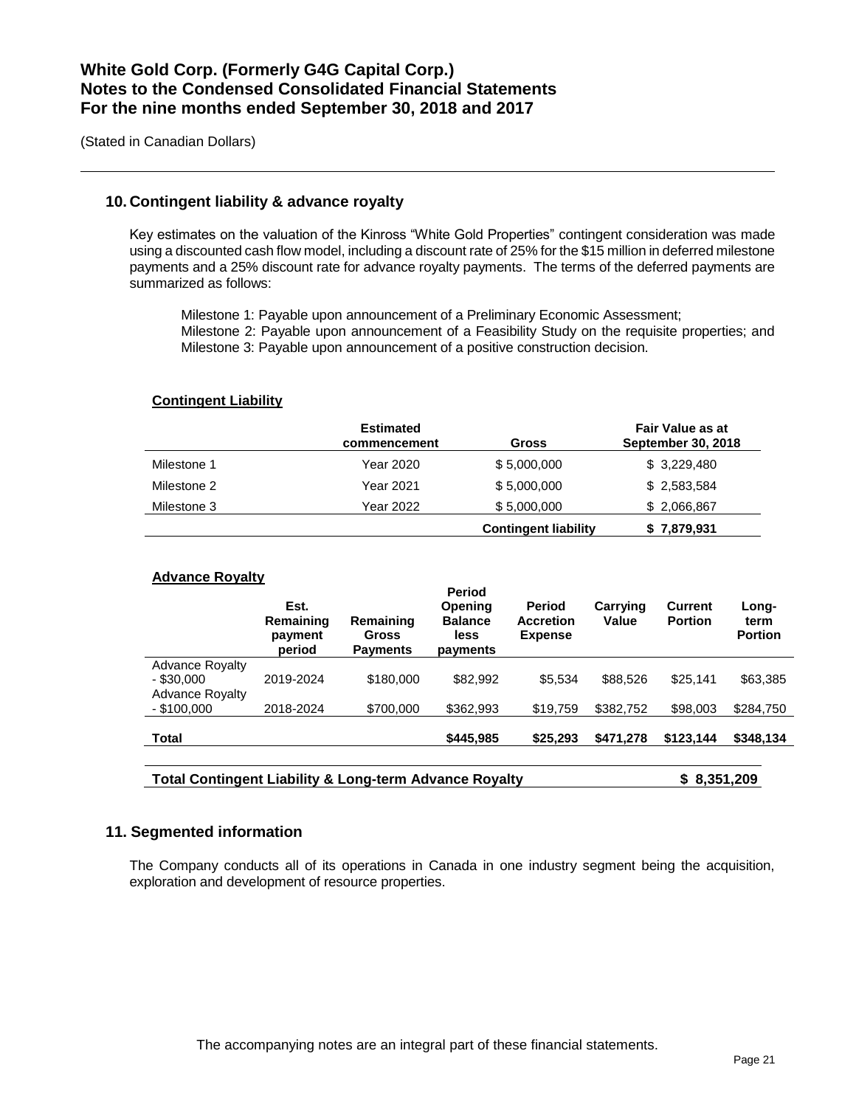(Stated in Canadian Dollars)

### **10. Contingent liability & advance royalty**

Key estimates on the valuation of the Kinross "White Gold Properties" contingent consideration was made using a discounted cash flow model, including a discount rate of 25% for the \$15 million in deferred milestone payments and a 25% discount rate for advance royalty payments. The terms of the deferred payments are summarized as follows:

Milestone 1: Payable upon announcement of a Preliminary Economic Assessment; Milestone 2: Payable upon announcement of a Feasibility Study on the requisite properties; and Milestone 3: Payable upon announcement of a positive construction decision.

### **Contingent Liability**

|             | <b>Estimated</b><br>commencement | Gross                       | <b>Fair Value as at</b><br><b>September 30, 2018</b> |
|-------------|----------------------------------|-----------------------------|------------------------------------------------------|
| Milestone 1 | Year 2020                        | \$5,000,000                 | \$3,229,480                                          |
| Milestone 2 | Year 2021                        | \$5,000,000                 | \$2,583,584                                          |
| Milestone 3 | Year 2022                        | \$5,000,000                 | \$2,066,867                                          |
|             |                                  | <b>Contingent liability</b> | \$7,879,931                                          |

### **Advance Royalty**

|                                         | Est.<br>Remaining<br>payment<br>period | Remaining<br>Gross<br><b>Payments</b> | Period<br><b>Opening</b><br><b>Balance</b><br>less<br>payments | <b>Period</b><br><b>Accretion</b><br><b>Expense</b> | Carrying<br>Value | <b>Current</b><br><b>Portion</b> | Long-<br>term<br><b>Portion</b> |
|-----------------------------------------|----------------------------------------|---------------------------------------|----------------------------------------------------------------|-----------------------------------------------------|-------------------|----------------------------------|---------------------------------|
| <b>Advance Royalty</b><br>$-$ \$30,000  | 2019-2024                              | \$180,000                             | \$82.992                                                       | \$5.534                                             | \$88,526          | \$25.141                         | \$63,385                        |
| <b>Advance Royalty</b><br>$-$ \$100,000 | 2018-2024                              | \$700,000                             | \$362,993                                                      | \$19.759                                            | \$382,752         | \$98,003                         | \$284,750                       |
| <b>Total</b>                            |                                        |                                       | \$445,985                                                      | \$25,293                                            | \$471,278         | \$123.144                        | \$348,134                       |
|                                         |                                        |                                       |                                                                |                                                     |                   |                                  |                                 |

**Total Contingent Liability & Long-term Advance Royalty \$ 8,351,209**

### **11. Segmented information**

The Company conducts all of its operations in Canada in one industry segment being the acquisition, exploration and development of resource properties.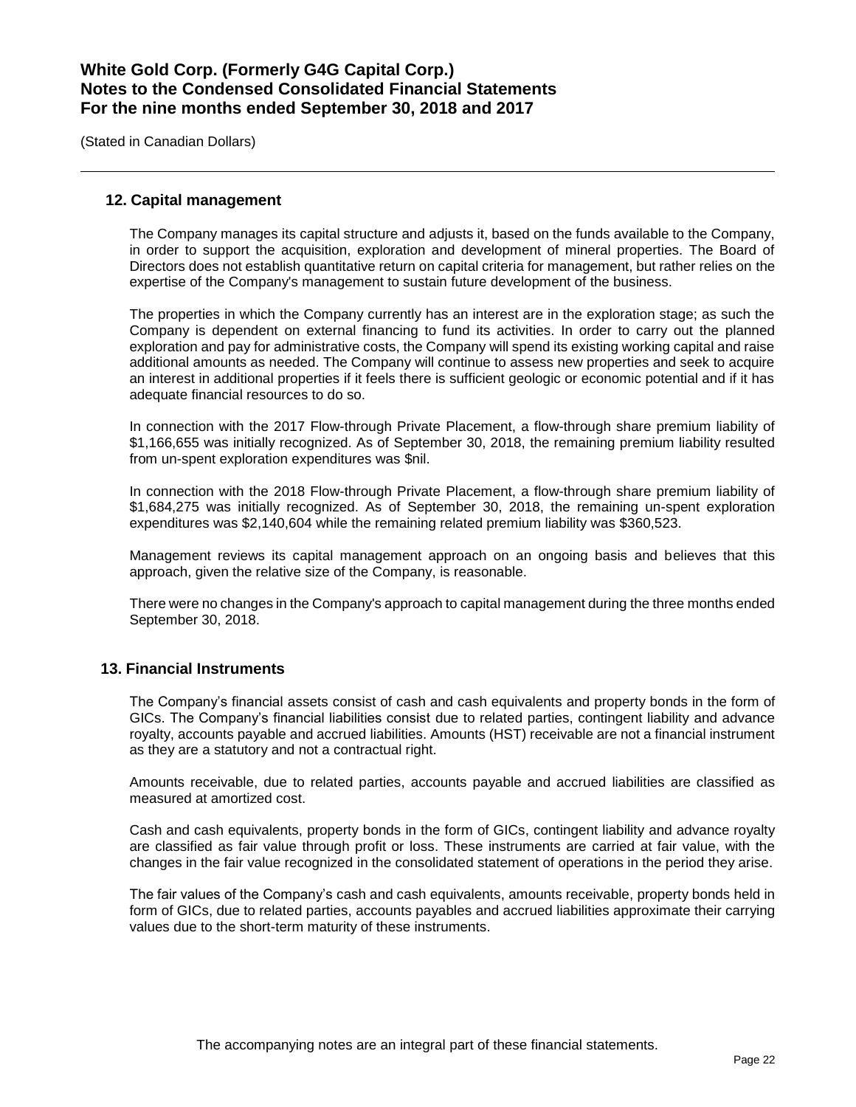(Stated in Canadian Dollars)

### **12. Capital management**

The Company manages its capital structure and adjusts it, based on the funds available to the Company, in order to support the acquisition, exploration and development of mineral properties. The Board of Directors does not establish quantitative return on capital criteria for management, but rather relies on the expertise of the Company's management to sustain future development of the business.

The properties in which the Company currently has an interest are in the exploration stage; as such the Company is dependent on external financing to fund its activities. In order to carry out the planned exploration and pay for administrative costs, the Company will spend its existing working capital and raise additional amounts as needed. The Company will continue to assess new properties and seek to acquire an interest in additional properties if it feels there is sufficient geologic or economic potential and if it has adequate financial resources to do so.

In connection with the 2017 Flow-through Private Placement, a flow-through share premium liability of \$1,166,655 was initially recognized. As of September 30, 2018, the remaining premium liability resulted from un-spent exploration expenditures was \$nil.

In connection with the 2018 Flow-through Private Placement, a flow-through share premium liability of \$1,684,275 was initially recognized. As of September 30, 2018, the remaining un-spent exploration expenditures was \$2,140,604 while the remaining related premium liability was \$360,523.

Management reviews its capital management approach on an ongoing basis and believes that this approach, given the relative size of the Company, is reasonable.

There were no changes in the Company's approach to capital management during the three months ended September 30, 2018.

### **13. Financial Instruments**

The Company's financial assets consist of cash and cash equivalents and property bonds in the form of GICs. The Company's financial liabilities consist due to related parties, contingent liability and advance royalty, accounts payable and accrued liabilities. Amounts (HST) receivable are not a financial instrument as they are a statutory and not a contractual right.

Amounts receivable, due to related parties, accounts payable and accrued liabilities are classified as measured at amortized cost.

Cash and cash equivalents, property bonds in the form of GICs, contingent liability and advance royalty are classified as fair value through profit or loss. These instruments are carried at fair value, with the changes in the fair value recognized in the consolidated statement of operations in the period they arise.

The fair values of the Company's cash and cash equivalents, amounts receivable, property bonds held in form of GICs, due to related parties, accounts payables and accrued liabilities approximate their carrying values due to the short-term maturity of these instruments.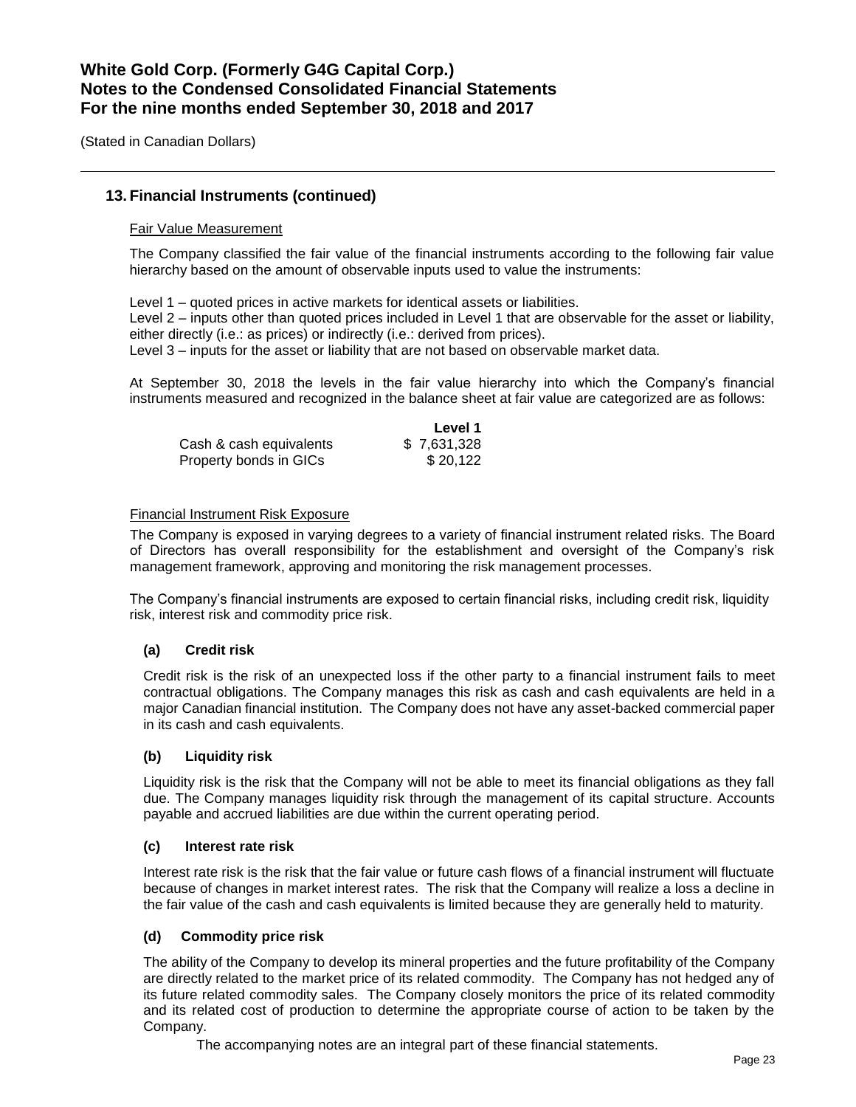(Stated in Canadian Dollars)

### **13. Financial Instruments (continued)**

### Fair Value Measurement

The Company classified the fair value of the financial instruments according to the following fair value hierarchy based on the amount of observable inputs used to value the instruments:

Level 1 – quoted prices in active markets for identical assets or liabilities. Level 2 – inputs other than quoted prices included in Level 1 that are observable for the asset or liability, either directly (i.e.: as prices) or indirectly (i.e.: derived from prices). Level 3 – inputs for the asset or liability that are not based on observable market data.

At September 30, 2018 the levels in the fair value hierarchy into which the Company's financial instruments measured and recognized in the balance sheet at fair value are categorized are as follows:

|                         | Level 1     |
|-------------------------|-------------|
| Cash & cash equivalents | \$7,631,328 |
| Property bonds in GICs  | \$20.122    |

### Financial Instrument Risk Exposure

The Company is exposed in varying degrees to a variety of financial instrument related risks. The Board of Directors has overall responsibility for the establishment and oversight of the Company's risk management framework, approving and monitoring the risk management processes.

The Company's financial instruments are exposed to certain financial risks, including credit risk, liquidity risk, interest risk and commodity price risk.

### **(a) Credit risk**

Credit risk is the risk of an unexpected loss if the other party to a financial instrument fails to meet contractual obligations. The Company manages this risk as cash and cash equivalents are held in a major Canadian financial institution. The Company does not have any asset-backed commercial paper in its cash and cash equivalents.

### **(b) Liquidity risk**

Liquidity risk is the risk that the Company will not be able to meet its financial obligations as they fall due. The Company manages liquidity risk through the management of its capital structure. Accounts payable and accrued liabilities are due within the current operating period.

### **(c) Interest rate risk**

Interest rate risk is the risk that the fair value or future cash flows of a financial instrument will fluctuate because of changes in market interest rates. The risk that the Company will realize a loss a decline in the fair value of the cash and cash equivalents is limited because they are generally held to maturity.

### **(d) Commodity price risk**

The ability of the Company to develop its mineral properties and the future profitability of the Company are directly related to the market price of its related commodity. The Company has not hedged any of its future related commodity sales. The Company closely monitors the price of its related commodity and its related cost of production to determine the appropriate course of action to be taken by the Company.

The accompanying notes are an integral part of these financial statements.